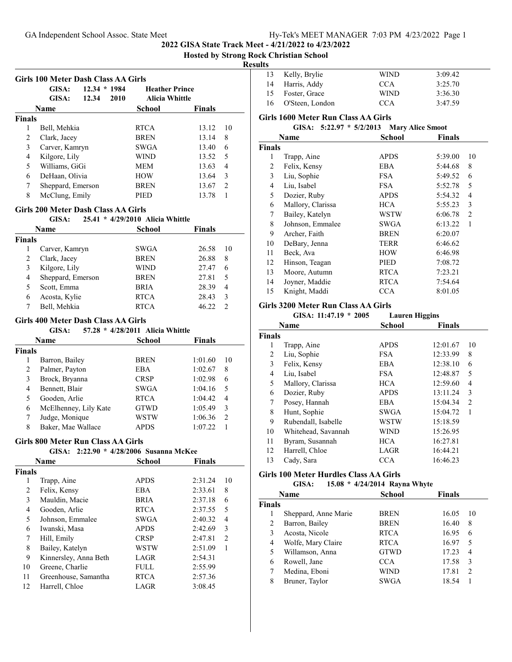**2022 GISA State Track Meet - 4/21/2022 to 4/23/2022**

## **Hosted by Strong Rock Christian School**

## **Results**

|               | GISA:<br>GISA:    | $12.34 * 1984$<br>2010<br>12.34 | <b>Heather Prince</b><br><b>Alicia Whittle</b> |               |               |
|---------------|-------------------|---------------------------------|------------------------------------------------|---------------|---------------|
|               | <b>Name</b>       |                                 | School                                         | <b>Finals</b> |               |
| <b>Finals</b> |                   |                                 |                                                |               |               |
| 1             | Bell, Mehkia      |                                 | <b>RTCA</b>                                    | 13.12         | 10            |
| 2             | Clark, Jacey      |                                 | <b>BREN</b>                                    | 13.14         | 8             |
| 3             | Carver, Kamryn    |                                 | <b>SWGA</b>                                    | 13.40         | 6             |
| 4             | Kilgore, Lily     |                                 | WIND                                           | 13.52         | 5             |
| 5             | Williams, GiGi    |                                 | <b>MEM</b>                                     | 13.63         | 4             |
| 6             | DeHaan, Olivia    |                                 | <b>HOW</b>                                     | 13.64         | 3             |
| 7             | Sheppard, Emerson |                                 | <b>BREN</b>                                    | 13.67         | $\mathcal{L}$ |
| 8             | McClung, Emily    |                                 | PIED                                           | 13.78         |               |

#### **Girls 200 Meter Dash Class AA Girls**

## **GISA: 25.41 \* Alicia Whittle 4/29/2010 Name School Finals Finals** Carver, Kamryn SWGA 26.58 10 2 Clark, Jacey BREN 26.88 8 Kilgore, Lily WIND 27.47 6 Sheppard, Emerson BREN 27.81 5 5 Scott, Emma<br>
6 Acosta, Kylie<br>
RTCA<br>
28.43 3 6 Acosta, Kylie RTCA Bell, Mehkia RTCA 46.22 2

## **Girls 400 Meter Dash Class AA Girls**

|               | GISA:                 | 57.28 * 4/28/2011 Alicia Whittle |              |    |
|---------------|-----------------------|----------------------------------|--------------|----|
|               | <b>Name</b>           | School                           | Finals       |    |
| <b>Finals</b> |                       |                                  |              |    |
| 1             | Barron, Bailey        | <b>BREN</b>                      | 1:01.60      | 10 |
| 2             | Palmer, Payton        | <b>EBA</b>                       | 1:02.67      | 8  |
| 3             | Brock, Bryanna        | <b>CRSP</b>                      | 1:02.98      | 6  |
| 4             | Bennett, Blair        | <b>SWGA</b>                      | 1:04.16      | 5  |
| 5             | Gooden, Arlie         | <b>RTCA</b>                      | 1:04.42<br>4 |    |
| 6             | McElhenney, Lily Kate | <b>GTWD</b>                      | 1:05.49      | 3  |
| 7             | Judge, Monique        | WSTW                             | 1:06.36      | 2  |
| 8             | Baker, Mae Wallace    | <b>APDS</b>                      | 1:07.22      |    |

## **Girls 800 Meter Run Class AA Girls**

|               | GISA:                 | 2:22.90 * 4/28/2006 Susanna McKee |               |                |
|---------------|-----------------------|-----------------------------------|---------------|----------------|
|               | Name                  | School                            | <b>Finals</b> |                |
| <b>Finals</b> |                       |                                   |               |                |
| 1             | Trapp, Aine           | <b>APDS</b>                       | 2:31.24       | 10             |
| 2             | Felix, Kensy          | <b>EBA</b>                        | 2:33.61       | 8              |
| 3             | Mauldin, Macie        | <b>BRIA</b>                       | 2:37.18       | 6              |
| 4             | Gooden, Arlie         | <b>RTCA</b>                       | 2:37.55       | 5              |
| 5             | Johnson, Emmalee      | <b>SWGA</b>                       | 2:40.32       | 4              |
| 6             | Iwanski, Masa         | <b>APDS</b>                       | 2:42.69       | 3              |
| 7             | Hill, Emily           | <b>CRSP</b>                       | 2:47.81       | $\mathfrak{D}$ |
| 8             | Bailey, Katelyn       | <b>WSTW</b>                       | 2:51.09       | 1              |
| 9             | Kinnersley, Anna Beth | LAGR                              | 2:54.31       |                |
| 10            | Greene, Charlie       | <b>FULL</b>                       | 2:55.99       |                |
| 11            | Greenhouse, Samantha  | <b>RTCA</b>                       | 2:57.36       |                |
| 12            | Harrell, Chloe        | LAGR                              | 3:08.45       |                |
|               |                       |                                   |               |                |

| .  |                    |             |         |
|----|--------------------|-------------|---------|
| 13 | Kelly, Brylie      | <b>WIND</b> | 3:09.42 |
|    | 14 Harris, Addy    | CCA         | 3:25.70 |
|    | 15 Foster, Grace   | <b>WIND</b> | 3:36.30 |
|    | 16 O'Steen, London | CCA         | 3:47.59 |
|    |                    |             |         |

#### **Girls 1600 Meter Run Class AA Girls**

**GISA:** 5:22.97 \* 5/2/2013 Mary Alice Smoot

|        | Name              | School      | <b>Finals</b> |                |
|--------|-------------------|-------------|---------------|----------------|
| Finals |                   |             |               |                |
| 1      | Trapp, Aine       | APDS        | 5:39.00       | 10             |
| 2      | Felix, Kensy      | <b>EBA</b>  | 5:44.68       | 8              |
| 3      | Liu, Sophie       | <b>FSA</b>  | 5:49.52       | 6              |
| 4      | Liu, Isabel       | FSA.        | 5:52.78       | 5              |
| 5      | Dozier, Ruby      | <b>APDS</b> | 5:54.32       | 4              |
| 6      | Mallory, Clarissa | HCA         | 5:55.23       | 3              |
| 7      | Bailey, Katelyn   | WSTW        | 6:06.78       | $\overline{2}$ |
| 8      | Johnson, Emmalee  | SWGA        | 6:13.22       | 1              |
| 9      | Archer, Faith     | <b>BREN</b> | 6:20.07       |                |
| 10     | DeBary, Jenna     | TERR        | 6:46.62       |                |
| 11     | Beck, Ava         | HOW         | 6:46.98       |                |
| 12     | Hinson, Teagan    | PIED        | 7:08.72       |                |
| 13     | Moore, Autumn     | <b>RTCA</b> | 7:23.21       |                |
| 14     | Joyner, Maddie    | <b>RTCA</b> | 7:54.64       |                |
| 15     | Knight, Maddi     | CCA         | 8:01.05       |                |
|        |                   |             |               |                |

## **Girls 3200 Meter Run Class AA Girls**

| GISA: $11:47.19 * 2005$ | <b>Lauren Higgins</b> |
|-------------------------|-----------------------|
|-------------------------|-----------------------|

|               | <b>Name</b>         | <b>School</b> | <b>Finals</b> |    |
|---------------|---------------------|---------------|---------------|----|
| <b>Finals</b> |                     |               |               |    |
| 1             | Trapp, Aine         | <b>APDS</b>   | 12:01.67      | 10 |
| 2             | Liu, Sophie         | <b>FSA</b>    | 12:33.99      | 8  |
| 3             | Felix, Kensy        | <b>EBA</b>    | 12:38.10      | 6  |
| 4             | Liu, Isabel         | <b>FSA</b>    | 12:48.87      | 5  |
| 5             | Mallory, Clarissa   | <b>HCA</b>    | 12:59.60      | 4  |
| 6             | Dozier, Ruby        | <b>APDS</b>   | 13:11.24      | 3  |
| 7             | Posey, Hannah       | EBA           | 15:04.34      | 2  |
| 8             | Hunt, Sophie        | SWGA          | 15:04.72      | 1  |
| 9             | Rubendall, Isabelle | WSTW          | 15:18.59      |    |
| 10            | Whitehead, Savannah | WIND          | 15:26.95      |    |
| 11            | Byram, Susannah     | HCA           | 16:27.81      |    |
| 12            | Harrell, Chloe      | LAGR          | 16:44.21      |    |
| 13            | Cady, Sara          | CCA           | 16:46.23      |    |
|               |                     |               |               |    |

#### **Girls 100 Meter Hurdles Class AA Girls GISA: 15.08 \* Rayna Whyte 4/24/2014**

|               | GISA:                | 15.08 $\frac{1}{4}$ 4/24/2014 Rayna Whyte |               |                |
|---------------|----------------------|-------------------------------------------|---------------|----------------|
|               | Name                 | <b>School</b>                             | <b>Finals</b> |                |
| <b>Finals</b> |                      |                                           |               |                |
| 1             | Sheppard, Anne Marie | <b>BREN</b>                               | 16.05         | 10             |
| 2             | Barron, Bailey       | <b>BREN</b>                               | 16.40         | 8              |
| 3             | Acosta, Nicole       | <b>RTCA</b>                               | 16.95         | 6              |
| 4             | Wolfe, Mary Claire   | <b>RTCA</b>                               | 16.97         | 5              |
| 5             | Willamson, Anna      | <b>GTWD</b>                               | 17.23         | 4              |
| 6             | Rowell, Jane         | <b>CCA</b>                                | 17.58         | 3              |
| 7             | Medina, Eboni        | WIND                                      | 17.81         | $\overline{c}$ |
| 8             | Bruner, Taylor       | SWGA                                      | 18.54         |                |
|               |                      |                                           |               |                |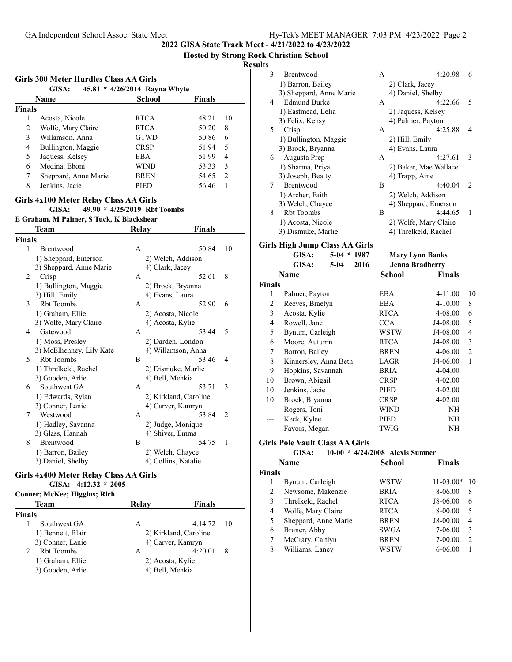**2022 GISA State Track Meet - 4/21/2022 to 4/23/2022**

**Hosted by Strong Rock Christian School**

|               | Girls 300 Meter Hurdles Class AA Girls<br>GISA: | 45.81 * 4/26/2014 Rayna Whyte |               |                          |
|---------------|-------------------------------------------------|-------------------------------|---------------|--------------------------|
|               | Name                                            | School                        | <b>Finals</b> |                          |
| <b>Finals</b> |                                                 |                               |               |                          |
| 1             | Acosta, Nicole                                  | <b>RTCA</b>                   | 48.21         | 10                       |
| 2             | Wolfe, Mary Claire                              | <b>RTCA</b>                   | 50.20         | 8                        |
| 3             | Willamson, Anna                                 | <b>GTWD</b>                   | 50.86         | 6                        |
| 4             | Bullington, Maggie                              | <b>CRSP</b>                   | 51.94         | $\overline{\mathcal{L}}$ |
| 5             | Jaquess, Kelsey                                 | EBA                           | 51.99         | 4                        |
| 6             | Medina, Eboni                                   | WIND                          | 53.33         | 3                        |
| 7             | Sheppard, Anne Marie                            | <b>BREN</b>                   | 54.65         | $\mathcal{L}$            |
| 8             | Jenkins, Jacie                                  | PIED                          | 56.46         |                          |
|               |                                                 |                               |               |                          |

## **Girls 4x100 Meter Relay Class AA Girls**

**E Graham, M Palmer, S Tuck, K Blackshear**

#### GISA:  $49.90 * 4/25/2019$  Rbt Toombs

|        | <b>Team</b>              | <b>Relay</b> | Finals                |    |
|--------|--------------------------|--------------|-----------------------|----|
| Finals |                          |              |                       |    |
| 1      | Brentwood                | A            | 50.84                 | 10 |
|        | 1) Sheppard, Emerson     |              | 2) Welch, Addison     |    |
|        | 3) Sheppard, Anne Marie  |              | 4) Clark, Jacey       |    |
| 2      | Crisp                    | A            | 52.61                 | 8  |
|        | 1) Bullington, Maggie    |              | 2) Brock, Bryanna     |    |
|        | 3) Hill, Emily           |              | 4) Evans, Laura       |    |
| 3      | <b>Rbt Toombs</b>        | A            | 52.90                 | 6  |
|        | 1) Graham, Ellie         |              | 2) Acosta, Nicole     |    |
|        | 3) Wolfe, Mary Claire    |              | 4) Acosta, Kylie      |    |
| 4      | Gatewood                 | A            | 53.44                 | 5  |
|        | 1) Moss, Presley         |              | 2) Darden, London     |    |
|        | 3) McElhenney, Lily Kate |              | 4) Willamson, Anna    |    |
| 5      | <b>Rbt</b> Toombs        | B            | 53.46                 | 4  |
|        | 1) Threlkeld, Rachel     |              | 2) Dismuke, Marlie    |    |
|        | 3) Gooden, Arlie         |              | 4) Bell, Mehkia       |    |
| 6      | Southwest GA             | A            | 53.71                 | 3  |
|        | 1) Edwards, Rylan        |              | 2) Kirkland, Caroline |    |
|        | 3) Conner, Lanie         |              | 4) Carver, Kamryn     |    |
| 7      | Westwood                 | A            | 53.84                 | 2  |
|        | 1) Hadley, Savanna       |              | 2) Judge, Monique     |    |
|        | 3) Glass, Hannah         |              | 4) Shiver, Emma       |    |
| 8      | Brentwood                | B            | 54.75                 | 1  |
|        | 1) Barron, Bailey        |              | 2) Welch, Chayce      |    |
|        | 3) Daniel, Shelby        |              | 4) Collins, Natalie   |    |

## **Girls 4x400 Meter Relay Class AA Girls**

## **GISA: 4:12.32 \* 2005**

**Conner; McKee; Higgins; Rich**

| Team              | Relay            | Finals                |   |
|-------------------|------------------|-----------------------|---|
| <b>Finals</b>     |                  |                       |   |
| Southwest GA      | А                | $4:14.72$ 10          |   |
| 1) Bennett, Blair |                  | 2) Kirkland, Caroline |   |
| 3) Conner, Lanie  |                  | 4) Carver, Kamryn     |   |
| <b>Rbt</b> Toombs | А                | 4:20.01               | 8 |
| 1) Graham, Ellie  | 2) Acosta, Kylie |                       |   |
| 3) Gooden, Arlie  | 4) Bell, Mehkia  |                       |   |

| $\mathcal{E}$ | <b>Brentwood</b>        | A | 4:20.98               | 6                             |
|---------------|-------------------------|---|-----------------------|-------------------------------|
|               |                         |   |                       |                               |
|               | 1) Barron, Bailey       |   | 2) Clark, Jacey       |                               |
|               | 3) Sheppard, Anne Marie |   | 4) Daniel, Shelby     |                               |
| 4             | <b>Edmund Burke</b>     | A | 4:22.66               | $\overline{\mathcal{L}}$      |
|               | 1) Eastmead, Lelia      |   | 2) Jaquess, Kelsey    |                               |
|               | 3) Felix, Kensy         |   | 4) Palmer, Payton     |                               |
| 5.            | Crisp                   | A | 4:25.88               | 4                             |
|               | 1) Bullington, Maggie   |   | 2) Hill, Emily        |                               |
|               | 3) Brock, Bryanna       |   | 4) Evans, Laura       |                               |
| 6             | Augusta Prep            | A | 4:27.61               | 3                             |
|               | 1) Sharma, Priya        |   | 2) Baker, Mae Wallace |                               |
|               | 3) Joseph, Beatty       |   | 4) Trapp, Aine        |                               |
| 7             | Brentwood               | В | 4:40.04               | $\mathfrak{D}_{\mathfrak{p}}$ |
|               | 1) Archer, Faith        |   | 2) Welch, Addison     |                               |
|               | 3) Welch, Chayce        |   | 4) Sheppard, Emerson  |                               |
| 8             | <b>Rbt</b> Toombs       | В | 4:44.65               | 1                             |
|               | 1) Acosta, Nicole       |   | 2) Wolfe, Mary Claire |                               |
|               | 3) Dismuke, Marlie      |   | 4) Threlkeld, Rachel  |                               |
|               |                         |   |                       |                               |

## **Girls High Jump Class AA Girls**

|        | GISA:                 | $5-04$ * 1987  |             | <b>Mary Lynn Banks</b> |                |
|--------|-----------------------|----------------|-------------|------------------------|----------------|
|        | GISA:                 | $5-04$<br>2016 |             | <b>Jenna Bradberry</b> |                |
|        | Name                  |                | School      | <b>Finals</b>          |                |
| Finals |                       |                |             |                        |                |
| 1      | Palmer, Payton        |                | <b>EBA</b>  | 4-11.00                | 10             |
| 2      | Reeves, Braelyn       |                | <b>EBA</b>  | $4 - 10.00$            | 8              |
| 3      | Acosta, Kylie         |                | <b>RTCA</b> | 4-08.00                | 6              |
| 4      | Rowell, Jane          |                | <b>CCA</b>  | J4-08.00               | 5              |
| 5      | Bynum, Carleigh       |                | WSTW        | J4-08.00               | 4              |
| 6      | Moore, Autumn         |                | <b>RTCA</b> | J4-08.00               | 3              |
| 7      | Barron, Bailey        |                | <b>BREN</b> | 4-06.00                | $\overline{2}$ |
| 8      | Kinnersley, Anna Beth |                | LAGR        | J4-06.00               | 1              |
| 9      | Hopkins, Savannah     |                | BRIA        | 4-04.00                |                |
| 10     | Brown, Abigail        |                | <b>CRSP</b> | $4 - 02.00$            |                |
| 10     | Jenkins, Jacie        |                | PIED        | 4-02.00                |                |
| 10     | Brock, Bryanna        |                | <b>CRSP</b> | $4 - 02.00$            |                |
| ---    | Rogers, Toni          |                | WIND        | NH                     |                |
|        | Keck, Kylee           |                | PIED        | NH                     |                |
|        | Favors, Megan         |                | TWIG        | ΝH                     |                |
|        |                       |                |             |                        |                |

#### **Girls Pole Vault Class AA Girls**

| GISA: |  | $10-00 * 4/24/2008$ Alexis Sumner |
|-------|--|-----------------------------------|
|       |  |                                   |

| Name                 | <b>School</b> | Finals            |
|----------------------|---------------|-------------------|
|                      |               |                   |
| Bynum, Carleigh      | WSTW          | $11-03.00*$<br>10 |
| Newsome, Makenzie    | <b>BRIA</b>   | 8-06.00<br>8      |
| Threlkeld, Rachel    | <b>RTCA</b>   | J8-06.00<br>6     |
| Wolfe, Mary Claire   | <b>RTCA</b>   | 8-00.00<br>5      |
| Sheppard, Anne Marie | <b>BREN</b>   | J8-00.00<br>4     |
| Bruner, Abby         | SWGA          | 7-06.00<br>3      |
| McCrary, Caitlyn     | <b>BREN</b>   | $7 - 00.00$<br>2  |
| Williams, Laney      | <b>WSTW</b>   | 6-06.00           |
|                      |               |                   |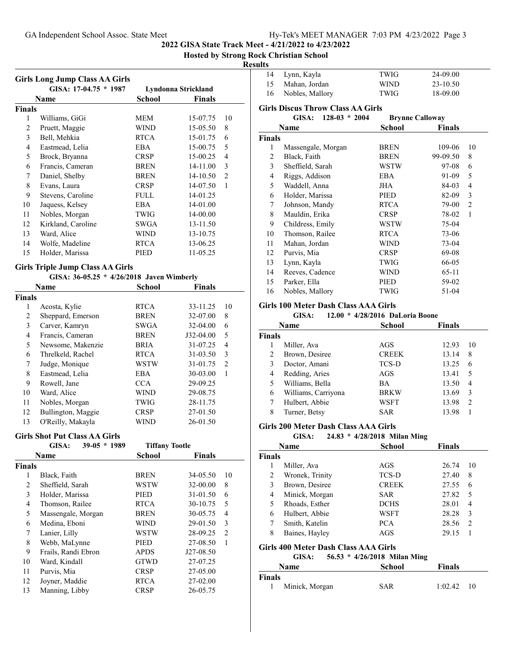**2022 GISA State Track Meet - 4/21/2022 to 4/23/2022**

#### **Hosted by Strong Rock Christian School**

j.

#### **Results**

|                         | <b>Girls Long Jump Class AA Girls</b>     |                       |                     |                          |
|-------------------------|-------------------------------------------|-----------------------|---------------------|--------------------------|
|                         | GISA: 17-04.75 * 1987                     |                       | Lyndonna Strickland |                          |
|                         | Name                                      | <b>School</b>         | <b>Finals</b>       |                          |
| Finals                  |                                           |                       |                     |                          |
| 1                       | Williams, GiGi                            | MEM                   | 15-07.75            | 10                       |
| $\sqrt{2}$              | Pruett, Maggie                            | <b>WIND</b>           | 15-05.50            | 8                        |
| $\mathfrak{Z}$          | Bell, Mehkia                              | <b>RTCA</b>           | 15-01.75            | 6                        |
| $\overline{\mathbf{4}}$ | Eastmead, Lelia                           | EBA                   | 15-00.75            | 5                        |
| 5                       | Brock, Bryanna                            | <b>CRSP</b>           | 15-00.25            | $\overline{\mathcal{L}}$ |
| 6                       | Francis, Cameran                          | <b>BREN</b>           | 14-11.00            | 3                        |
| $\tau$                  | Daniel, Shelby                            | <b>BREN</b>           | 14-10.50            | $\overline{2}$           |
| $\,$ $\,$               | Evans, Laura                              | <b>CRSP</b>           | 14-07.50            | 1                        |
| 9                       | Stevens, Caroline                         | <b>FULL</b>           | 14-01.25            |                          |
| 10                      | Jaquess, Kelsey                           | <b>EBA</b>            | 14-01.00            |                          |
| 11                      | Nobles, Morgan                            | TWIG                  | 14-00.00            |                          |
| 12                      | Kirkland, Caroline                        | SWGA                  | 13-11.50            |                          |
| 13                      | Ward, Alice                               | <b>WIND</b>           | 13-10.75            |                          |
| 14                      | Wolfe, Madeline                           | <b>RTCA</b>           | 13-06.25            |                          |
| 15                      | Holder, Marissa                           | PIED                  | 11-05.25            |                          |
|                         |                                           |                       |                     |                          |
|                         | <b>Girls Triple Jump Class AA Girls</b>   |                       |                     |                          |
|                         | GISA: 36-05.25 * 4/26/2018 Javen Wimberly |                       |                     |                          |
|                         | Name                                      | <b>School</b>         | <b>Finals</b>       |                          |
| <b>Finals</b>           |                                           |                       |                     |                          |
| $\mathbf{1}$            | Acosta, Kylie                             | <b>RTCA</b>           | 33-11.25            | 10                       |
| $\mathfrak{2}$          | Sheppard, Emerson                         | <b>BREN</b>           | 32-07.00            | 8                        |
| $\mathfrak{Z}$          | Carver, Kamryn                            | SWGA                  | 32-04.00            | 6                        |
| $\overline{\mathbf{4}}$ | Francis, Cameran                          | <b>BREN</b>           | J32-04.00           | 5                        |
| 5                       | Newsome, Makenzie                         | <b>BRIA</b>           | 31-07.25            | $\overline{\mathcal{L}}$ |
| 6                       | Threlkeld, Rachel                         | <b>RTCA</b>           | 31-03.50            | 3                        |
| 7                       | Judge, Monique                            | <b>WSTW</b>           | 31-01.75            | $\overline{2}$           |
| $\,$ $\,$               | Eastmead, Lelia                           | <b>EBA</b>            | 30-03.00            | 1                        |
| 9                       | Rowell, Jane                              | <b>CCA</b>            | 29-09.25            |                          |
| $10\,$                  | Ward, Alice                               | <b>WIND</b>           | 29-08.75            |                          |
| 11                      | Nobles, Morgan                            | TWIG                  | 28-11.75            |                          |
| 12                      | Bullington, Maggie                        | <b>CRSP</b>           | 27-01.50            |                          |
| 13                      | O'Reilly, Makayla                         | WIND                  | 26-01.50            |                          |
|                         | <b>Girls Shot Put Class AA Girls</b>      |                       |                     |                          |
|                         | GISA:<br>39-05 * 1989                     | <b>Tiffany Tootle</b> |                     |                          |
|                         | Name                                      | <b>School</b>         | <b>Finals</b>       |                          |
| Finals                  |                                           |                       |                     |                          |
| 1                       | Black, Faith                              | <b>BREN</b>           | 34-05.50            | 10                       |
| $\sqrt{2}$              | Sheffield, Sarah                          | WSTW                  | 32-00.00            | 8                        |
| 3                       | Holder, Marissa                           |                       | 31-01.50            | 6                        |
| $\overline{\mathbf{4}}$ |                                           | PIED                  |                     |                          |
|                         | Thomson, Railee                           | <b>RTCA</b>           | 30-10.75            | 5                        |
| 5                       | Massengale, Morgan                        | <b>BREN</b>           | 30-05.75            | $\overline{4}$           |

 Medina, Eboni WIND 29-01.50 3 Lanier, Lilly WSTW 28-09.25 2 8 Webb, MaLynne PIED 27-08.50 1<br>
9 Frails, Randi Ebron APDS J27-08.50 Frails, Randi Ebron APDS J27-08.50 Ward, Kindall GTWD 27-07.25 Purvis, Mia CRSP 27-05.00 Joyner, Maddie RTCA 27-02.00 Manning, Libby CRSP 26-05.75

|    | 14 Lynn, Kayla  | TWIG        | 24-09.00 |
|----|-----------------|-------------|----------|
| 15 | Mahan. Jordan   | <b>WIND</b> | 23-10.50 |
| 16 | Nobles, Mallory | <b>TWIG</b> | 18-09.00 |

#### **Girls Discus Throw Class AA Girls**

|        | GISA:              | $128-03 * 2004$ |             | <b>Brynne Calloway</b> |    |
|--------|--------------------|-----------------|-------------|------------------------|----|
|        | Name               |                 | School      | <b>Finals</b>          |    |
| Finals |                    |                 |             |                        |    |
| 1      | Massengale, Morgan |                 | BREN        | 109-06                 | 10 |
| 2      | Black, Faith       |                 | BREN        | 99-09.50               | 8  |
| 3      | Sheffield, Sarah   |                 | WSTW        | 97-08                  | 6  |
| 4      | Riggs, Addison     |                 | EBA         | 91-09                  | 5  |
| 5      | Waddell, Anna      |                 | JHA         | 84-03                  | 4  |
| 6      | Holder, Marissa    |                 | PIED        | 82-09                  | 3  |
| 7      | Johnson, Mandy     |                 | <b>RTCA</b> | 79-00                  | 2  |
| 8      | Mauldin, Erika     |                 | <b>CRSP</b> | 78-02                  | 1  |
| 9      | Childress, Emily   |                 | WSTW        | 75-04                  |    |
| 10     | Thomson, Railee    |                 | <b>RTCA</b> | 73-06                  |    |
| 11     | Mahan, Jordan      |                 | WIND        | 73-04                  |    |
| 12     | Purvis, Mia        |                 | <b>CRSP</b> | 69-08                  |    |
| 13     | Lynn, Kayla        |                 | TWIG        | 66-05                  |    |
| 14     | Reeves, Cadence    |                 | WIND        | 65-11                  |    |
| 15     | Parker, Ella       |                 | PIED        | 59-02                  |    |
| 16     | Nobles, Mallory    |                 | TWIG        | 51-04                  |    |
|        |                    |                 |             |                        |    |

## **Girls 100 Meter Dash Class AAA Girls**

#### **GISA:** 12.00 \* 4/28/2016 DaLoria Boone

|        | Name                | <b>School</b> | <b>Finals</b> |                |  |
|--------|---------------------|---------------|---------------|----------------|--|
| Finals |                     |               |               |                |  |
|        | Miller, Ava         | AGS           | 12.93         | 10             |  |
| 2      | Brown, Desiree      | <b>CREEK</b>  | 13.14         | 8              |  |
| 3      | Doctor, Amani       | TCS-D         | 13.25         | 6              |  |
| 4      | Redding, Aries      | AGS           | 13.41         | 5              |  |
| 5      | Williams, Bella     | <b>BA</b>     | 13.50         | 4              |  |
| 6      | Williams, Carriyona | <b>BRKW</b>   | 13.69         | 3              |  |
|        | Hulbert, Abbie      | WSFT          | 13.98         | $\overline{2}$ |  |
| 8      | Turner, Betsy       | SAR           | 13.98         |                |  |

#### **Girls 200 Meter Dash Class AAA Girls**

# **GISA:** 24.83 \* 4/28/2018 Milan Ming

|                                       | Name                                 | <b>School</b> | <b>Finals</b> |    |  |
|---------------------------------------|--------------------------------------|---------------|---------------|----|--|
| Finals                                |                                      |               |               |    |  |
|                                       | Miller, Ava                          | AGS           | 26.74         | 10 |  |
| 2                                     | Wronek, Trinity                      | <b>TCS-D</b>  | 27.40         | 8  |  |
| 3                                     | Brown, Desiree                       | <b>CREEK</b>  | 27.55         | 6  |  |
| 4                                     | Minick, Morgan                       | <b>SAR</b>    | 27.82         | 5  |  |
| 5                                     | Rhoads, Esther                       | <b>DCHS</b>   | 28.01         | 4  |  |
| 6                                     | Hulbert, Abbie                       | WSFT          | 28.28         | 3  |  |
| 7                                     | Smith, Katelin                       | <b>PCA</b>    | 28.56         | 2  |  |
| 8                                     | Baines, Hayley                       | AGS           | 29.15         | 1  |  |
|                                       | Girls 400 Meter Dash Class AAA Girls |               |               |    |  |
| GISA:<br>56.53 * 4/26/2018 Milan Ming |                                      |               |               |    |  |
|                                       | Name                                 | School        | Finals        |    |  |
| Finale                                |                                      |               |               |    |  |

| Finals |                  |            |              |  |
|--------|------------------|------------|--------------|--|
|        | 1 Minick, Morgan | <b>SAR</b> | $1:02.42$ 10 |  |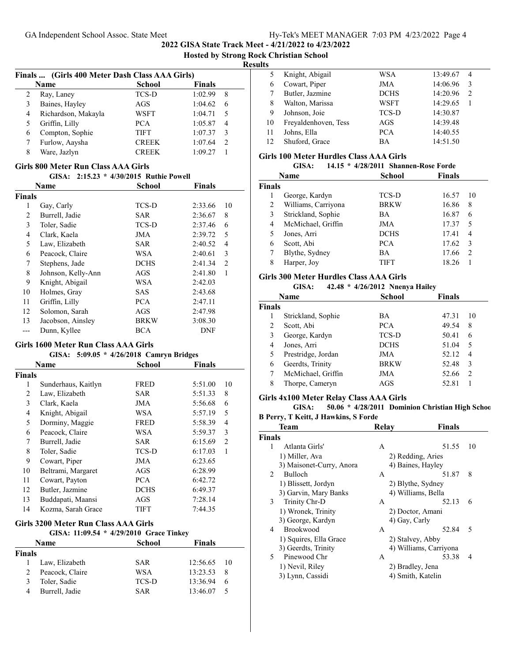**Hosted by Strong Rock Christian School**

#### **Results**

|   | Finals  (Girls 400 Meter Dash Class AAA Girls) |               |               |               |
|---|------------------------------------------------|---------------|---------------|---------------|
|   | Name                                           | <b>School</b> | <b>Finals</b> |               |
| 2 | Ray, Laney                                     | <b>TCS-D</b>  | 1:02.99       | 8             |
| 3 | Baines, Hayley                                 | AGS           | 1:04.62       | 6             |
| 4 | Richardson, Makayla                            | WSFT          | 1:04.71       |               |
|   | Griffin, Lilly                                 | <b>PCA</b>    | 1:05.87       | 4             |
| 6 | Compton, Sophie                                | <b>TIFT</b>   | 1:07.37       | 3             |
|   | Furlow, Aaysha                                 | <b>CREEK</b>  | 1:07.64       | $\mathcal{L}$ |
| 8 | Ware, Jazlyn                                   | <b>CREEK</b>  | 1:09.27       |               |

## **Girls 800 Meter Run Class AAA Girls**

| GISA: 2:15.23 * 4/30/2015 Ruthie Powell |  |  |
|-----------------------------------------|--|--|
|-----------------------------------------|--|--|

|                | Name               | School       | <b>Finals</b> |                |
|----------------|--------------------|--------------|---------------|----------------|
| <b>Finals</b>  |                    |              |               |                |
| 1              | Gay, Carly         | TCS-D        | 2:33.66       | 10             |
| 2              | Burrell, Jadie     | <b>SAR</b>   | 2:36.67       | 8              |
| 3              | Toler, Sadie       | <b>TCS-D</b> | 2:37.46       | 6              |
| $\overline{4}$ | Clark, Kaela       | <b>JMA</b>   | 2:39.72       | 5              |
| 5              | Law, Elizabeth     | <b>SAR</b>   | 2:40.52       | 4              |
| 6              | Peacock, Claire    | WSA          | 2:40.61       | 3              |
| 7              | Stephens, Jade     | <b>DCHS</b>  | 2:41.34       | $\overline{2}$ |
| 8              | Johnson, Kelly-Ann | AGS          | 2:41.80       | 1              |
| 9              | Knight, Abigail    | WSA          | 2:42.03       |                |
| 10             | Holmes, Gray       | <b>SAS</b>   | 2:43.68       |                |
| 11             | Griffin, Lilly     | <b>PCA</b>   | 2:47.11       |                |
| 12             | Solomon, Sarah     | AGS          | 2:47.98       |                |
| 13             | Jacobson, Ainsley  | <b>BRKW</b>  | 3:08.30       |                |
|                | Dunn, Kyllee       | BCA          | <b>DNF</b>    |                |
|                |                    |              |               |                |

# **Girls 1600 Meter Run Class AAA Girls**

| GISA: 5:09.05 * 4/26/2018 Camryn Bridges |                     |             |               |                |
|------------------------------------------|---------------------|-------------|---------------|----------------|
|                                          | Name                | School      | <b>Finals</b> |                |
| Finals                                   |                     |             |               |                |
| 1                                        | Sunderhaus, Kaitlyn | <b>FRED</b> | 5:51.00       | 10             |
| 2                                        | Law, Elizabeth      | SAR         | 5:51.33       | 8              |
| 3                                        | Clark, Kaela        | JMA         | 5:56.68       | 6              |
| 4                                        | Knight, Abigail     | WSA         | 5:57.19       | 5              |
| 5                                        | Dorminy, Maggie     | <b>FRED</b> | 5:58.39       | 4              |
| 6                                        | Peacock, Claire     | WSA         | 5:59.37       | 3              |
| 7                                        | Burrell, Jadie      | SAR         | 6:15.69       | $\overline{2}$ |
| 8                                        | Toler, Sadie        | TCS-D       | 6:17.03       | 1              |
| 9                                        | Cowart, Piper       | <b>JMA</b>  | 6:23.65       |                |
| 10                                       | Beltrami, Margaret  | AGS         | 6:28.99       |                |
| 11                                       | Cowart, Payton      | <b>PCA</b>  | 6:42.72       |                |
| 12                                       | Butler, Jazmine     | <b>DCHS</b> | 6:49.37       |                |
| 13                                       | Buddapati, Maansi   | AGS         | 7:28.14       |                |
| 14                                       | Kozma, Sarah Grace  | TIFT        | 7:44.35       |                |
|                                          |                     |             |               |                |

#### **Girls 3200 Meter Run Class AAA Girls** GISA: 11:09.54 \* 4/29/2010 Grace Tinkey

| Name            | <b>School</b> | <b>Finals</b>  |  |
|-----------------|---------------|----------------|--|
| Finals          |               |                |  |
| Law, Elizabeth  | <b>SAR</b>    | 12:56.65 10    |  |
| Peacock, Claire | WSA           | 13:23.53<br>-8 |  |
| Toler, Sadie    | <b>TCS-D</b>  | 13:36.94<br>6  |  |
| Burrell, Jadie  | <b>SAR</b>    | 13:46.07       |  |
|                 |               |                |  |

| 5. | Knight, Abigail      | WSA         | 13:49.67<br>$\overline{4}$ |  |
|----|----------------------|-------------|----------------------------|--|
| 6  | Cowart, Piper        | JMA         | 14:06.96<br>3              |  |
|    | Butler, Jazmine      | <b>DCHS</b> | 14:20.96<br>2              |  |
| 8  | Walton, Marissa      | WSFT        | 14:29.65                   |  |
| 9  | Johnson, Joie        | TCS-D       | 14:30.87                   |  |
| 10 | Freyaldenhoven, Tess | AGS         | 14:39.48                   |  |
| 11 | Johns, Ella          | <b>PCA</b>  | 14:40.55                   |  |
| 12 | Shuford, Grace       | ВA          | 14:51.50                   |  |
|    |                      |             |                            |  |

#### **Girls 100 Meter Hurdles Class AAA Girls**

|        | GISA:               | 14.15 * 4/28/2011 Shannen-Rose Forde |               |               |    |
|--------|---------------------|--------------------------------------|---------------|---------------|----|
|        | <b>Name</b>         |                                      | <b>School</b> | <b>Finals</b> |    |
| Finals |                     |                                      |               |               |    |
|        | George, Kardyn      |                                      | TCS-D         | 16.57         | 10 |
| 2      | Williams, Carriyona |                                      | <b>BRKW</b>   | 16.86         | 8  |
| 3      | Strickland, Sophie  | <b>BA</b>                            |               | 16.87         | 6  |
| 4      | McMichael, Griffin  |                                      | JMA           | 17.37         | 5  |
| 5      | Jones, Arri         |                                      | <b>DCHS</b>   | 17.41         | 4  |
| 6      | Scott, Abi          |                                      | <b>PCA</b>    | 17.62         | 3  |
|        | Blythe, Sydney      | <b>BA</b>                            |               | 17.66         | 2  |
| 8      | Harper, Joy         |                                      | <b>TIFT</b>   | 18.26         |    |
|        |                     |                                      |               |               |    |

## **Girls 300 Meter Hurdles Class AAA Girls**

| GISA: |  |  | 42.48 * 4/26/2012 Nnenya Hailey |
|-------|--|--|---------------------------------|
|-------|--|--|---------------------------------|

|        | uwa.<br>72.70      | $\tau$ /20/2012 Thienvaliancy |               |    |
|--------|--------------------|-------------------------------|---------------|----|
|        | <b>Name</b>        | School                        | <b>Finals</b> |    |
| Finals |                    |                               |               |    |
|        | Strickland, Sophie | BA                            | 47.31         | 10 |
| 2      | Scott, Abi         | PCA.                          | 49.54         | 8  |
| 3      | George, Kardyn     | TCS-D                         | 50.41         | 6  |
| 4      | Jones, Arri        | <b>DCHS</b>                   | 51.04         | 5  |
| 5      | Prestridge, Jordan | JMA                           | 52.12         | 4  |
| 6      | Geerdts, Trinity   | <b>BRKW</b>                   | 52.48         | 3  |
| 7      | McMichael, Griffin | JMA                           | 52.66         | 2  |
| 8      | Thorpe, Cameryn    | AGS                           | 52.81         |    |
|        |                    |                               |               |    |

## **Girls 4x100 Meter Relay Class AAA Girls**

**GISA: 50.06 \* 4/28/2011 Dominion Christian High School**

#### **B Perry, T Keitt, J Hawkins, S Forde**

|               | Team                     | Relav             | Finals                 |    |
|---------------|--------------------------|-------------------|------------------------|----|
| <b>Finals</b> |                          |                   |                        |    |
|               | Atlanta Girls'           | А                 | 51.55                  | 10 |
|               | 1) Miller, Ava           | 2) Redding, Aries |                        |    |
|               | 3) Maisonet-Curry, Anora | 4) Baines, Hayley |                        |    |
| 2             | <b>Bulloch</b>           | А                 | 51.87                  | 8  |
|               | 1) Blissett, Jordyn      |                   | 2) Blythe, Sydney      |    |
|               | 3) Garvin, Mary Banks    |                   | 4) Williams, Bella     |    |
| 3             | Trinity Chr-D            | A                 | 52.13                  | 6  |
|               | 1) Wronek, Trinity       | 2) Doctor, Amani  |                        |    |
|               | 3) George, Kardyn        | 4) Gay, Carly     |                        |    |
| 4             | <b>Brookwood</b>         | A                 | 52.84                  | 5  |
|               | 1) Squires, Ella Grace   | 2) Stalvey, Abby  |                        |    |
|               | 3) Geerdts, Trinity      |                   | 4) Williams, Carriyona |    |
| 5.            | Pinewood Chr             | A                 | 53.38                  | 4  |
|               | 1) Nevil, Riley          | 2) Bradley, Jena  |                        |    |
|               | 3) Lynn, Cassidi         | 4) Smith, Katelin |                        |    |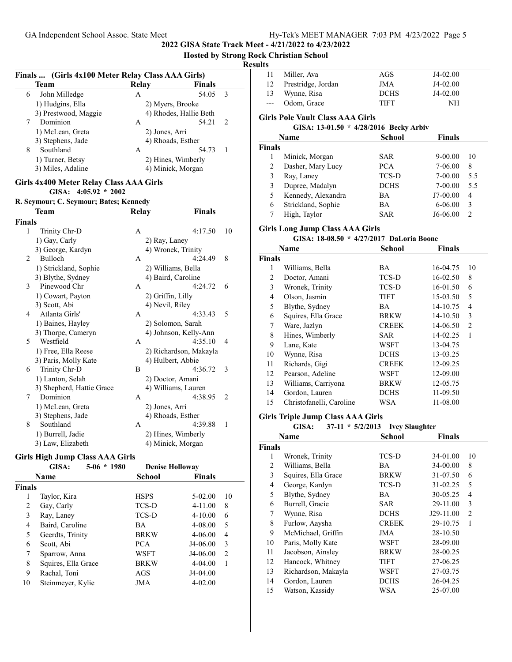**2022 GISA State Track Meet - 4/21/2022 to 4/23/2022**

**Hosted by Strong Rock Christian School**

|               | Finals  (Girls 4x100 Meter Relay Class AAA Girls) |              |                        |                |  |
|---------------|---------------------------------------------------|--------------|------------------------|----------------|--|
|               | Team                                              | <b>Relay</b> | <b>Finals</b>          |                |  |
| 6             | John Milledge                                     | A            | 54.05                  | 3              |  |
|               | 1) Hudgins, Ella                                  |              | 2) Myers, Brooke       |                |  |
|               | 3) Prestwood, Maggie                              |              | 4) Rhodes, Hallie Beth |                |  |
| 7             | Dominion                                          | A            | 54.21                  | 2              |  |
|               | 1) McLean, Greta                                  |              | 2) Jones, Arri         |                |  |
|               | 3) Stephens, Jade                                 |              | 4) Rhoads, Esther      |                |  |
| 8             | Southland                                         | A            | 54.73                  | 1              |  |
|               | 1) Turner, Betsy                                  |              | 2) Hines, Wimberly     |                |  |
|               | 3) Miles, Adaline                                 |              | 4) Minick, Morgan      |                |  |
|               | Girls 4x400 Meter Relay Class AAA Girls           |              |                        |                |  |
|               | GISA: $4:05.92 * 2002$                            |              |                        |                |  |
|               | R. Seymour; C. Seymour; Bates; Kennedy            |              |                        |                |  |
|               | Team                                              | Relay        | Finals                 |                |  |
| <b>Finals</b> |                                                   |              |                        |                |  |
| 1             | Trinity Chr-D                                     | A            | 4:17.50                | 10             |  |
|               | 1) Gay, Carly                                     |              | 2) Ray, Laney          |                |  |
|               | 3) George, Kardyn                                 |              | 4) Wronek, Trinity     |                |  |
| 2             | Bulloch                                           | A            | 4:24.49                | 8              |  |
|               | 1) Strickland, Sophie                             |              | 2) Williams, Bella     |                |  |
|               | 3) Blythe, Sydney                                 |              | 4) Baird, Caroline     |                |  |
| 3             | Pinewood Chr                                      | А            | 4:24.72                | 6              |  |
|               | 1) Cowart, Payton                                 |              | 2) Griffin, Lilly      |                |  |
|               | 3) Scott, Abi                                     |              | 4) Nevil, Riley        |                |  |
| 4             | Atlanta Girls'                                    | A            | 4:33.43                | 5              |  |
|               | 1) Baines, Hayley                                 |              | 2) Solomon, Sarah      |                |  |
|               | 3) Thorpe, Cameryn                                |              | 4) Johnson, Kelly-Ann  |                |  |
| 5             | Westfield                                         | А            | 4:35.10                | 4              |  |
|               | 1) Free, Ella Reese                               |              | 2) Richardson, Makayla |                |  |
|               | 3) Paris, Molly Kate                              |              | 4) Hulbert, Abbie      |                |  |
| 6             | Trinity Chr-D                                     | B            | 4:36.72                | 3              |  |
|               | 1) Lanton, Selah                                  |              | 2) Doctor, Amani       |                |  |
|               | 3) Shepherd, Hattie Grace                         |              | 4) Williams, Lauren    |                |  |
| 7             | Dominion                                          | A            | 4:38.95                | $\overline{c}$ |  |
|               | 1) McLean, Greta                                  |              | 2) Jones, Arri         |                |  |
|               | 3) Stephens, Jade                                 |              | 4) Rhoads, Esther      |                |  |
| 8             | Southland                                         | A            | 4:39.88                | 1              |  |
|               | 1) Burrell, Jadie                                 |              | 2) Hines, Wimberly     |                |  |
|               | 3) Law, Elizabeth                                 |              | 4) Minick, Morgan      |                |  |
|               |                                                   |              |                        |                |  |

### **Girls High Jump Class AAA Girls**

|               | GISA:               | $5-06 * 1980$ | <b>Denise Holloway</b> |               |                |
|---------------|---------------------|---------------|------------------------|---------------|----------------|
|               | <b>Name</b>         |               | School                 | <b>Finals</b> |                |
| <b>Finals</b> |                     |               |                        |               |                |
| 1             | Taylor, Kira        |               | <b>HSPS</b>            | $5-02.00$     | 10             |
| 2             | Gay, Carly          |               | TCS-D                  | $4 - 11.00$   | 8              |
| 3             | Ray, Laney          |               | TCS-D                  | $4 - 10.00$   | 6              |
| 4             | Baird, Caroline     |               | <b>BA</b>              | 4-08.00       | 5              |
| 5             | Geerdts, Trinity    |               | <b>BRKW</b>            | 4-06.00       | 4              |
| 6             | Scott, Abi          |               | <b>PCA</b>             | J4-06.00      | 3              |
| 7             | Sparrow, Anna       |               | WSFT                   | J4-06.00      | $\mathfrak{D}$ |
| 8             | Squires, Ella Grace |               | <b>BRKW</b>            | $4 - 04.00$   | 1              |
| 9             | Rachal, Toni        |               | AGS                    | J4-04.00      |                |
| 10            | Steinmeyer, Kylie   |               | JMA                    | $4 - 02.00$   |                |

| Miller, Ava                              | AGS         | J4-02.00                        |                                          |
|------------------------------------------|-------------|---------------------------------|------------------------------------------|
| Prestridge, Jordan                       | <b>JMA</b>  | J4-02.00                        |                                          |
| Wynne, Risa                              | <b>DCHS</b> | J4-02.00                        |                                          |
| Odom, Grace                              | <b>TIFT</b> | NH                              |                                          |
| <b>Girls Pole Vault Class AAA Girls</b>  |             |                                 |                                          |
| GISA: $13-01.50 * 4/28/2016$ Becky Arbiv |             |                                 |                                          |
| Name                                     | School      | <b>Finals</b>                   |                                          |
|                                          |             |                                 |                                          |
| Minick, Morgan                           | <b>SAR</b>  | 9-00.00                         | 10                                       |
| Dasher, Mary Lucy                        | <b>PCA</b>  | 7-06.00                         | 8                                        |
| Ray, Laney                               | TCS-D       | 7-00.00                         | 5.5                                      |
| Dupree, Madalyn                          | <b>DCHS</b> | 7-00.00                         | 5.5                                      |
| Kennedy, Alexandra                       | BA          | J7-00.00                        | 4                                        |
| Strickland, Sophie                       | BA.         | $6 - 06.00$                     | 3                                        |
| High, Taylor                             | <b>SAR</b>  | J6-06.00                        | $\mathfrak{D}$                           |
|                                          |             |                                 |                                          |
| Name                                     | School      | Finals                          |                                          |
|                                          |             | Girls Long Jump Class AAA Girls | GISA: 18-08.50 * 4/27/2017 DaLoria Boone |

| `inals |                          |              |          |                |
|--------|--------------------------|--------------|----------|----------------|
| 1      | Williams, Bella          | BA.          | 16-04.75 | 10             |
| 2      | Doctor, Amani            | TCS-D        | 16-02.50 | 8              |
| 3      | Wronek, Trinity          | TCS-D        | 16-01.50 | 6              |
| 4      | Olson, Jasmin            | <b>TIFT</b>  | 15-03.50 | 5              |
| 5      | Blythe, Sydney           | BA.          | 14-10.75 | 4              |
| 6      | Squires, Ella Grace      | <b>BRKW</b>  | 14-10.50 | 3              |
| 7      | Ware, Jazlyn             | <b>CREEK</b> | 14-06.50 | $\overline{c}$ |
| 8      | Hines, Wimberly          | SAR          | 14-02.25 | 1              |
| 9      | Lane, Kate               | WSFT         | 13-04.75 |                |
| 10     | Wynne, Risa              | <b>DCHS</b>  | 13-03.25 |                |
| 11     | Richards, Gigi           | <b>CREEK</b> | 12-09.25 |                |
| 12     | Pearson, Adeline         | WSFT         | 12-09.00 |                |
| 13     | Williams, Carriyona      | <b>BRKW</b>  | 12-05.75 |                |
| 14     | Gordon, Lauren           | <b>DCHS</b>  | 11-09.50 |                |
| 15     | Christofanelli, Caroline | WSA          | 11-08.00 |                |

## **Girls Triple Jump Class AAA Girls**

#### **GISA:** 37-11 \* 5/2/2013 **Ivey Slaughter**

|                | <b>School</b><br><b>Finals</b><br>Name |              |           |                |
|----------------|----------------------------------------|--------------|-----------|----------------|
| <b>Finals</b>  |                                        |              |           |                |
| 1              | Wronek, Trinity                        | TCS-D        | 34-01.00  | 10             |
| 2              | Williams, Bella                        | BA.          | 34-00.00  | 8              |
| 3              | Squires, Ella Grace                    | <b>BRKW</b>  | 31-07.50  | 6              |
| $\overline{4}$ | George, Kardyn                         | TCS-D        | 31-02.25  | 5              |
| 5              | Blythe, Sydney                         | <b>BA</b>    | 30-05.25  | 4              |
| 6              | Burrell, Gracie                        | SAR          | 29-11.00  | 3              |
| 7              | Wynne, Risa                            | <b>DCHS</b>  | J29-11.00 | $\overline{2}$ |
| 8              | Furlow, Aaysha                         | <b>CREEK</b> | 29-10.75  | $\mathbf{1}$   |
| 9              | McMichael, Griffin                     | <b>JMA</b>   | 28-10.50  |                |
| 10             | Paris, Molly Kate                      | WSFT         | 28-09.00  |                |
| 11             | Jacobson, Ainsley                      | <b>BRKW</b>  | 28-00.25  |                |
| 12             | Hancock, Whitney                       | TIFT         | 27-06.25  |                |
| 13             | Richardson, Makayla                    | WSFT         | 27-03.75  |                |
| 14             | Gordon, Lauren                         | <b>DCHS</b>  | 26-04.25  |                |
| 15             | Watson, Kassidy                        | WSA          | 25-07.00  |                |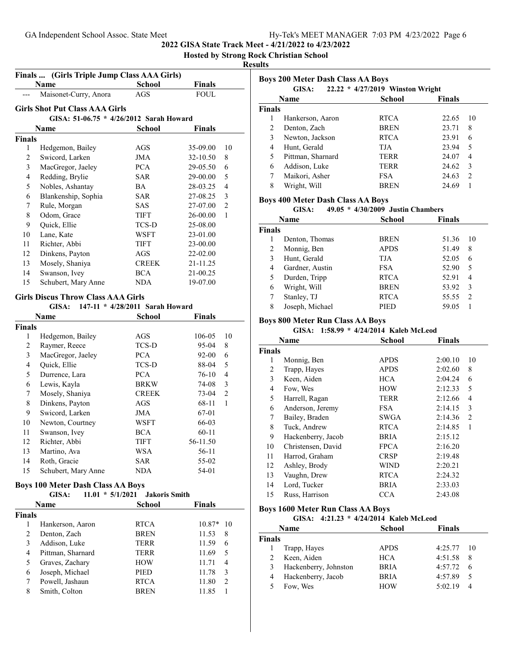## **Hosted by Strong Rock Christian School**

#### **Results**

|                    | Finals  (Girls Triple Jump Class AAA Girls)        |                                 |               |                |  |  |
|--------------------|----------------------------------------------------|---------------------------------|---------------|----------------|--|--|
|                    | Name                                               | <b>School</b>                   | Finals        |                |  |  |
|                    | Maisonet-Curry, Anora                              | AGS                             | <b>FOUL</b>   |                |  |  |
|                    | <b>Girls Shot Put Class AAA Girls</b>              |                                 |               |                |  |  |
|                    | GISA: 51-06.75 * 4/26/2012 Sarah Howard            |                                 |               |                |  |  |
|                    | Name                                               | School                          | Finals        |                |  |  |
| <b>Finals</b>      |                                                    |                                 |               |                |  |  |
| 1                  | Hedgemon, Bailey                                   | AGS                             | 35-09.00      | 10             |  |  |
| $\overline{c}$     | Swicord, Larken                                    | <b>JMA</b>                      | 32-10.50      | 8              |  |  |
| 3                  | MacGregor, Jaeley                                  | <b>PCA</b>                      | 29-05.50      | 6              |  |  |
| 4                  | Redding, Brylie                                    | SAR                             | 29-00.00      | 5              |  |  |
| 5                  | Nobles, Ashantay                                   | BA                              | 28-03.25      | $\overline{4}$ |  |  |
| 6                  | Blankenship, Sophia                                | SAR                             | 27-08.25      | 3              |  |  |
| 7                  | Rule, Morgan                                       | SAS                             | 27-07.00      | $\overline{2}$ |  |  |
| 8                  | Odom, Grace                                        | TIFT                            | 26-00.00      | 1              |  |  |
| 9                  | Quick, Ellie                                       | TCS-D                           | 25-08.00      |                |  |  |
| 10                 | Lane, Kate                                         | WSFT                            | 23-01.00      |                |  |  |
| 11                 | Richter, Abbi                                      | <b>TIFT</b>                     | 23-00.00      |                |  |  |
| 12                 | Dinkens, Payton                                    | AGS                             | 22-02.00      |                |  |  |
| 13                 | Mosely, Shaniya                                    | <b>CREEK</b>                    | 21-11.25      |                |  |  |
| 14                 | Swanson, Ivey                                      | <b>BCA</b>                      | 21-00.25      |                |  |  |
| 15                 | Schubert, Mary Anne                                | NDA                             | 19-07.00      |                |  |  |
|                    |                                                    |                                 |               |                |  |  |
|                    | <b>Girls Discus Throw Class AAA Girls</b><br>GISA: | 147-11 * 4/28/2011 Sarah Howard |               |                |  |  |
|                    |                                                    |                                 |               |                |  |  |
|                    | Name                                               | <b>School</b>                   | <b>Finals</b> |                |  |  |
| <b>Finals</b><br>1 | Hedgemon, Bailey                                   | AGS                             | 106-05        | 10             |  |  |
| 2                  | Raymer, Reece                                      | TCS-D                           | 95-04         | 8              |  |  |
| 3                  | MacGregor, Jaeley                                  | <b>PCA</b>                      | 92-00         | 6              |  |  |
| 4                  | Quick, Ellie                                       | TCS-D                           | 88-04         | 5              |  |  |
| 5                  | Durrence, Lara                                     | <b>PCA</b>                      | 76-10         | 4              |  |  |
| 6                  | Lewis, Kayla                                       | <b>BRKW</b>                     | 74-08         | 3              |  |  |
| 7                  | Mosely, Shaniya                                    | <b>CREEK</b>                    | 73-04         | $\overline{2}$ |  |  |
| 8                  | Dinkens, Payton                                    | AGS                             | 68-11         | $\mathbf{1}$   |  |  |
| 9                  | Swicord, Larken                                    | JMA                             | 67-01         |                |  |  |
| 10                 | Newton, Courtney                                   | WSFT                            | 66-03         |                |  |  |
| 11                 | Swanson, Ivey                                      | <b>BCA</b>                      | $60 - 11$     |                |  |  |
| 12                 | Richter, Abbi                                      | TIFT                            | 56-11.50      |                |  |  |
| 13                 | Martino, Ava                                       | WSA                             | 56-11         |                |  |  |
| 14                 | Roth, Gracie                                       | SAR                             | 55-02         |                |  |  |
| 15                 | Schubert, Mary Anne                                | NDA                             | 54-01         |                |  |  |

#### **Boys 100 Meter Dash Class AA Boys**

|               | GISA:             | $11.01 * 5/1/2021$ | <b>Jakoris Smith</b> |          |               |
|---------------|-------------------|--------------------|----------------------|----------|---------------|
|               | Name              |                    | School               | Finals   |               |
| <b>Finals</b> |                   |                    |                      |          |               |
|               | Hankerson, Aaron  |                    | <b>RTCA</b>          | $10.87*$ | 10            |
| 2             | Denton, Zach      |                    | <b>BREN</b>          | 11.53    | 8             |
| 3             | Addison, Luke     |                    | <b>TERR</b>          | 11.59    | 6             |
| 4             | Pittman, Sharnard |                    | <b>TERR</b>          | 11.69    | 5             |
| 5             | Graves, Zachary   |                    | <b>HOW</b>           | 11.71    | 4             |
| 6             | Joseph, Michael   |                    | <b>PIED</b>          | 11.78    | 3             |
|               | Powell, Jashaun   |                    | <b>RTCA</b>          | 11.80    | $\mathcal{L}$ |
| 8             | Smith, Colton     |                    | <b>BREN</b>          | 11.85    |               |
|               |                   |                    |                      |          |               |

| <b>Boys 200 Meter Dash Class AA Boys</b><br>22.22 * 4/27/2019 Winston Wright<br>GISA: |                   |               |               |               |
|---------------------------------------------------------------------------------------|-------------------|---------------|---------------|---------------|
|                                                                                       | Name              | <b>School</b> | <b>Finals</b> |               |
| <b>Finals</b>                                                                         |                   |               |               |               |
| 1                                                                                     | Hankerson, Aaron  | <b>RTCA</b>   | 22.65         | 10            |
| 2                                                                                     | Denton, Zach      | <b>BREN</b>   | 23.71         | 8             |
| 3                                                                                     | Newton, Jackson   | <b>RTCA</b>   | 23.91         | 6             |
| 4                                                                                     | Hunt, Gerald      | TJA.          | 23.94         | 5             |
| 5                                                                                     | Pittman, Sharnard | <b>TERR</b>   | 24.07         | 4             |
| 6                                                                                     | Addison, Luke     | TERR          | 24.62         | 3             |
| 7                                                                                     | Maikori, Asher    | <b>FSA</b>    | 24.63         | $\mathcal{L}$ |
| 8                                                                                     | Wright, Will      | <b>BREN</b>   | 24.69         |               |

#### **Boys 400 Meter Dash Class AA Boys**

#### **GISA:** 49.05 \* 4/30/2009 Justin Chambers

| Name          |                 | School      | <b>Finals</b>          |
|---------------|-----------------|-------------|------------------------|
| <b>Finals</b> |                 |             |                        |
|               | Denton, Thomas  | <b>BREN</b> | 51.36<br>10            |
| 2             | Monnig, Ben     | <b>APDS</b> | 51.49<br>8             |
| 3             | Hunt, Gerald    | TJA         | 52.05<br>6             |
| 4             | Gardner, Austin | <b>FSA</b>  | 52.90<br>5             |
| 5             | Durden, Tripp   | <b>RTCA</b> | 52.91<br>4             |
| 6             | Wright, Will    | <b>BREN</b> | 53.92<br>3             |
| 7             | Stanley, TJ     | <b>RTCA</b> | 55.55<br>$\mathcal{P}$ |
| 8             | Joseph, Michael | PIED        | 59.05                  |

#### **Boys 800 Meter Run Class AA Boys**

GISA: 1:58.99 \* 4/24/2014 Kaleb McLeod

|               | Name               | <b>School</b> | <b>Finals</b> |    |
|---------------|--------------------|---------------|---------------|----|
| <b>Finals</b> |                    |               |               |    |
| 1             | Monnig, Ben        | <b>APDS</b>   | 2:00.10       | 10 |
| 2             | Trapp, Hayes       | <b>APDS</b>   | 2:02.60       | 8  |
| 3             | Keen, Aiden        | <b>HCA</b>    | 2:04.24       | 6  |
| 4             | Fow, Wes           | <b>HOW</b>    | 2:12.33       | 5  |
| 5             | Harrell, Ragan     | <b>TERR</b>   | 2:12.66       | 4  |
| 6             | Anderson, Jeremy   | FSA.          | 2:14.15       | 3  |
| 7             | Bailey, Braden     | SWGA          | 2:14.36       | 2  |
| 8             | Tuck, Andrew       | <b>RTCA</b>   | 2:14.85       | 1  |
| 9             | Hackenberry, Jacob | <b>BRIA</b>   | 2:15.12       |    |
| 10            | Christensen, David | <b>FPCA</b>   | 2:16.20       |    |
| 11            | Harrod, Graham     | <b>CRSP</b>   | 2:19.48       |    |
| 12            | Ashley, Brody      | WIND          | 2:20.21       |    |
| 13            | Vaughn, Drew       | <b>RTCA</b>   | 2:24.32       |    |
| 14            | Lord, Tucker       | <b>BRIA</b>   | 2:33.03       |    |
| 15            | Russ, Harrison     | CCA           | 2:43.08       |    |

## **Boys 1600 Meter Run Class AA Boys**

|        | GISA: 4:21.23 * 4/24/2014 Kaleb McLeod |               |               |    |  |
|--------|----------------------------------------|---------------|---------------|----|--|
|        | <b>Name</b>                            | <b>School</b> | <b>Finals</b> |    |  |
| Finals |                                        |               |               |    |  |
|        | Trapp, Hayes                           | <b>APDS</b>   | $4:25.77$ 10  |    |  |
|        | Keen, Aiden                            | <b>HCA</b>    | 4:51.58       | 8  |  |
|        | Hackenberry, Johnston                  | <b>BRIA</b>   | 4:57.72       | 6  |  |
| 4      | Hackenberry, Jacob                     | BRIA          | 4:57.89       | -5 |  |
|        | Fow, Wes                               | <b>HOW</b>    | 5:02.19       | 4  |  |
|        |                                        |               |               |    |  |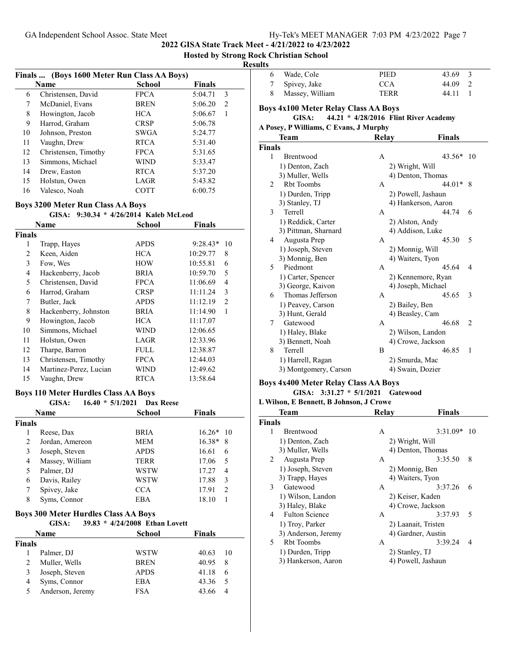**2022 GISA State Track Meet - 4/21/2022 to 4/23/2022**

**Hosted by Strong Rock Christian School**

|    | Finals  (Boys 1600 Meter Run Class AA Boys) |               |              |  |
|----|---------------------------------------------|---------------|--------------|--|
|    | Name                                        | <b>School</b> | Finals       |  |
| 6  | Christensen, David                          | <b>FPCA</b>   | 5:04.71<br>3 |  |
| 7  | McDaniel, Evans                             | <b>BREN</b>   | 2<br>5:06.20 |  |
| 8  | Howington, Jacob                            | <b>HCA</b>    | 5:06.67<br>1 |  |
| 9  | Harrod, Graham                              | <b>CRSP</b>   | 5:06.78      |  |
| 10 | Johnson, Preston                            | SWGA          | 5:24.77      |  |
| 11 | Vaughn, Drew                                | <b>RTCA</b>   | 5:31.40      |  |
| 12 | Christensen, Timothy                        | <b>FPCA</b>   | 5:31.65      |  |
| 13 | Simmons, Michael                            | WIND          | 5:33.47      |  |
| 14 | Drew, Easton                                | <b>RTCA</b>   | 5:37.20      |  |
| 15 | Holstun, Owen                               | LAGR          | 5:43.82      |  |
| 16 | Valesco. Noah                               | <b>COTT</b>   | 6:00.75      |  |

#### **Boys 3200 Meter Run Class AA Boys**

#### **GISA:** 9:30.34 \* 4/26/2014 Kaleb McLeod

|        | Name                   | <b>School</b> | <b>Finals</b>    |
|--------|------------------------|---------------|------------------|
| Finals |                        |               |                  |
| 1      | Trapp, Hayes           | <b>APDS</b>   | $9:28.43*$<br>10 |
| 2      | Keen, Aiden            | <b>HCA</b>    | 10:29.77<br>8    |
| 3      | Fow, Wes               | <b>HOW</b>    | 10:55.81<br>6    |
| 4      | Hackenberry, Jacob     | <b>BRIA</b>   | 10:59.70<br>5    |
| 5      | Christensen, David     | <b>FPCA</b>   | 4<br>11:06.69    |
| 6      | Harrod, Graham         | <b>CRSP</b>   | 3<br>11:11.24    |
| 7      | Butler, Jack           | <b>APDS</b>   | 11:12.19<br>2    |
| 8      | Hackenberry, Johnston  | <b>BRIA</b>   | 11:14.90<br>1    |
| 9      | Howington, Jacob       | <b>HCA</b>    | 11:17.07         |
| 10     | Simmons, Michael       | WIND          | 12:06.65         |
| 11     | Holstun, Owen          | LAGR          | 12:33.96         |
| 12     | Tharpe, Barron         | <b>FULL</b>   | 12:38.87         |
| 13     | Christensen, Timothy   | <b>FPCA</b>   | 12:44.03         |
| 14     | Martinez-Perez, Lucian | WIND          | 12:49.62         |
| 15     | Vaughn, Drew           | <b>RTCA</b>   | 13:58.64         |

#### **Boys 110 Meter Hurdles Class AA Boys**

|               | GISA:           | $16.40 * 5/1/2021$ Dax Reese |                                   |
|---------------|-----------------|------------------------------|-----------------------------------|
|               | Name            | School                       | <b>Finals</b>                     |
| <b>Finals</b> |                 |                              |                                   |
|               | Reese, Dax      | <b>BRIA</b>                  | $16.26*10$                        |
| 2             | Jordan, Amereon | MEM                          | $16.38*$<br>8                     |
| 3             | Joseph, Steven  | <b>APDS</b>                  | 16.61<br>6                        |
| 4             | Massey, William | <b>TERR</b>                  | 17.06<br>5                        |
| 5             | Palmer, DJ      | WSTW                         | 17.27<br>4                        |
| 6             | Davis, Railey   | WSTW                         | 17.88<br>3                        |
| 7             | Spivey, Jake    | <b>CCA</b>                   | 17.91<br>$\mathfrak{D}_{1}^{(1)}$ |
| 8             | Syms, Connor    | EBA                          | 18.10                             |

#### **Boys 300 Meter Hurdles Class AA Boys**

|               | GISA:            | 39.83 * 4/24/2008 Ethan Lovett |               |     |
|---------------|------------------|--------------------------------|---------------|-----|
|               | Name             | School                         | <b>Finals</b> |     |
| <b>Finals</b> |                  |                                |               |     |
|               | Palmer, DJ       | WSTW                           | 40.63         | 10  |
| 2             | Muller, Wells    | <b>BREN</b>                    | 40.95         | 8   |
| 3             | Joseph, Steven   | <b>APDS</b>                    | 41.18         | 6   |
| 4             | Syms, Connor     | EBA                            | 43.36         | - 5 |
| 5             | Anderson, Jeremy | <b>FSA</b>                     | 43.66         |     |

| ILS |                 |      |              |
|-----|-----------------|------|--------------|
|     | 6 Wade, Cole    | PIED | 43.69        |
|     | 7 Spivey, Jake  | CCA  | 44.09<br>- 2 |
|     | Massey, William | TERR | 44.11        |

# **Boys 4x100 Meter Relay Class AA Boys**

## **GISA:** 44.21 \* 4/28/2016 Flint River Academy

## **A Posey, P Williams, C Evans, J Murphy**

|                | Team                  | Relay |                     | Finals   |                |
|----------------|-----------------------|-------|---------------------|----------|----------------|
| <b>Finals</b>  |                       |       |                     |          |                |
| 1              | Brentwood             | A     |                     | $43.56*$ | 10             |
|                | 1) Denton, Zach       |       | 2) Wright, Will     |          |                |
|                | 3) Muller, Wells      |       | 4) Denton, Thomas   |          |                |
| $\mathfrak{D}$ | <b>Rht Toombs</b>     | A     |                     | $44.01*$ | 8              |
|                | 1) Durden, Tripp      |       | 2) Powell, Jashaun  |          |                |
|                | 3) Stanley, TJ        |       | 4) Hankerson, Aaron |          |                |
| 3              | Terrell               | A     |                     | 44.74    | 6              |
|                | 1) Reddick, Carter    |       | 2) Alston, Andy     |          |                |
|                | 3) Pittman, Sharnard  |       | 4) Addison, Luke    |          |                |
| 4              | Augusta Prep          | A     |                     | 45.30    | 5              |
|                | 1) Joseph, Steven     |       | 2) Monnig, Will     |          |                |
|                | 3) Monnig, Ben        |       | 4) Waiters, Tyon    |          |                |
| 5              | Piedmont              | A     |                     | 45.64    | 4              |
|                | 1) Carter, Spencer    |       | 2) Kennemore, Ryan  |          |                |
|                | 3) George, Kaivon     |       | 4) Joseph, Michael  |          |                |
| 6              | Thomas Jefferson      | A     |                     | 45.65    | 3              |
|                | 1) Peavey, Carson     |       | 2) Bailey, Ben      |          |                |
|                | 3) Hunt, Gerald       |       | 4) Beasley, Cam     |          |                |
| 7              | Gatewood              | A     |                     | 46.68    | $\mathfrak{D}$ |
|                | 1) Haley, Blake       |       | 2) Wilson, Landon   |          |                |
|                | 3) Bennett, Noah      |       | 4) Crowe, Jackson   |          |                |
| 8              | Terrell               | B     |                     | 46.85    | 1              |
|                | 1) Harrell, Ragan     |       | 2) Smurda, Mac      |          |                |
|                | 3) Montgomery, Carson |       | 4) Swain, Dozier    |          |                |
|                |                       |       |                     |          |                |

#### **Boys 4x400 Meter Relay Class AA Boys**

#### GISA: 3:31.27 \* 5/1/2021 Gatewood

#### **L Wilson, E Bennett, B Johnson, J Crowe**

| <b>Team</b>                | Relay            | <b>Finals</b>                       |
|----------------------------|------------------|-------------------------------------|
| <b>Finals</b>              |                  |                                     |
| 1<br><b>Brentwood</b>      | A                | $3:31.09*$<br>10                    |
| 1) Denton, Zach            | 2) Wright, Will  |                                     |
| 3) Muller, Wells           |                  | 4) Denton, Thomas                   |
| 2<br>Augusta Prep          | A                | 8<br>3:35.50                        |
| 1) Joseph, Steven          | 2) Monnig, Ben   |                                     |
| 3) Trapp, Hayes            | 4) Waiters, Tyon |                                     |
| Gatewood<br>3              | A                | 3:37.26<br>6                        |
| 1) Wilson, Landon          | 2) Keiser, Kaden |                                     |
| 3) Haley, Blake            |                  | 4) Crowe, Jackson                   |
| <b>Fulton Science</b><br>4 | A                | 3:37.93<br>$\overline{\phantom{0}}$ |
| 1) Troy, Parker            |                  | 2) Laanait, Tristen                 |
| 3) Anderson, Jeremy        |                  | 4) Gardner, Austin                  |
| Rbt Toombs<br>5.           | A                | 3:39.24<br>4                        |
| 1) Durden, Tripp           | 2) Stanley, TJ   |                                     |
| 3) Hankerson, Aaron        |                  | 4) Powell, Jashaun                  |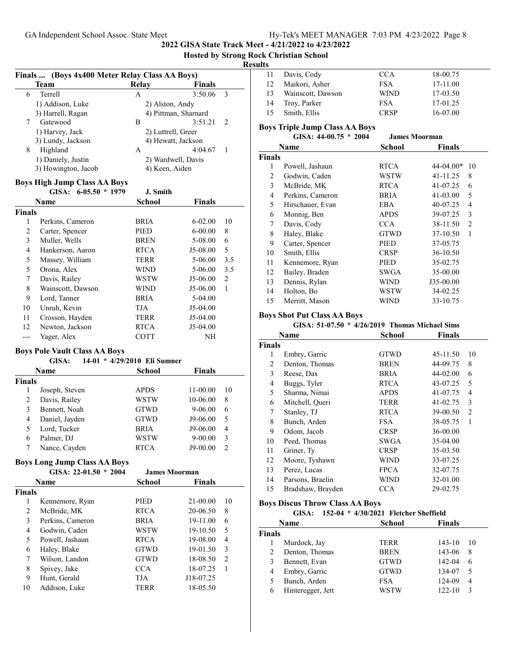**2022 GISA State Track Meet - 4/21/2022 to 4/23/2022**

**Hosted by Strong Rock Christian School**

|   | Team                                                          | Relay    | <b>Finals</b>             |
|---|---------------------------------------------------------------|----------|---------------------------|
| 6 | <b>Terrell</b>                                                | А        | 3<br>3:50.06              |
|   | 1) Addison, Luke                                              |          | 2) Alston, Andy           |
|   | 3) Harrell, Ragan                                             |          | 4) Pittman, Sharnard      |
| 7 | Gatewood                                                      | B        | 3:51.21<br>$\mathcal{L}$  |
|   | 1) Harvey, Jack                                               |          | 2) Luttrell, Greer        |
|   | 3) Lundy, Jackson                                             |          | 4) Hewatt, Jackson        |
| 8 | Highland                                                      | A        | 4:04.67<br>$\overline{1}$ |
|   | 1) Daniely, Justin                                            |          | 2) Wardwell, Davis        |
|   | 3) Howington, Jacob                                           |          | 4) Keen, Aiden            |
|   | <b>Boys High Jump Class AA Boys</b><br>GISA: $6-05.50 * 1979$ | J. Smith |                           |

|               | Name              | School      | <b>Finals</b> |     |
|---------------|-------------------|-------------|---------------|-----|
| <b>Finals</b> |                   |             |               |     |
| 1             | Perkins, Cameron  | <b>BRIA</b> | $6 - 02.00$   | 10  |
| 2             | Carter, Spencer   | <b>PIED</b> | $6-00.00$     | 8   |
| 3             | Muller, Wells     | <b>BREN</b> | 5-08.00       | 6   |
| 4             | Hankerson, Aaron  | <b>RTCA</b> | J5-08.00      | 5   |
| 5             | Massey, William   | <b>TERR</b> | 5-06.00       | 3.5 |
| 5             | Orona, Alex       | WIND        | 5-06.00       | 3.5 |
| 7             | Davis, Railey     | WSTW        | J5-06.00      | 2   |
| 8             | Wainscott, Dawson | WIND        | J5-06.00      | 1   |
| 9             | Lord, Tanner      | <b>BRIA</b> | $5-04.00$     |     |
| 10            | Unruh, Kevin      | <b>TJA</b>  | $J5-04.00$    |     |
| 11            | Crosson, Hayden   | TERR        | $J5-04.00$    |     |
| 12            | Newton, Jackson   | <b>RTCA</b> | $J5-04.00$    |     |
|               | Yager, Alex       | COTT        | NH            |     |

#### **Boys Pole Vault Class AA Boys**

#### **GISA:** 14-01 \* 4/29/2010 Eli Sumner

|        | Name           | <b>School</b> | Finals      |                |
|--------|----------------|---------------|-------------|----------------|
| Finals |                |               |             |                |
|        | Joseph, Steven | <b>APDS</b>   | 11-00.00    | 10             |
| 2      | Davis, Railey  | WSTW          | 10-06.00    | 8              |
| 3      | Bennett, Noah  | <b>GTWD</b>   | 9-06.00     | 6              |
| 4      | Daniel, Jayden | <b>GTWD</b>   | J9-06.00    | 5              |
| 5      | Lord, Tucker   | <b>BRIA</b>   | J9-06.00    | 4              |
| 6      | Palmer, DJ     | WSTW          | $9 - 00.00$ | 3              |
|        | Nance, Cayden  | RTCA          | $J9-00.00$  | $\mathfrak{D}$ |

### **Boys Long Jump Class AA Boys**

|               | GISA: $22-01.50 * 2004$ | <b>James Moorman</b> |               |                |
|---------------|-------------------------|----------------------|---------------|----------------|
|               | Name                    | School               | <b>Finals</b> |                |
| <b>Finals</b> |                         |                      |               |                |
| 1             | Kennemore, Ryan         | <b>PIED</b>          | $21 - 00.00$  | 10             |
| 2             | McBride, MK             | <b>RTCA</b>          | 20-06.50      | 8              |
| 3             | Perkins, Cameron        | <b>BRIA</b>          | 19-11.00      | 6              |
| 4             | Godwin, Caden           | WSTW                 | 19-10.50      | 5              |
| 5             | Powell, Jashaun         | <b>RTCA</b>          | 19-08.00      | 4              |
| 6             | Haley, Blake            | <b>GTWD</b>          | 19-01.50      | 3              |
| 7             | Wilson, Landon          | <b>GTWD</b>          | 18-08.50      | $\overline{2}$ |
| 8             | Spivey, Jake            | <b>CCA</b>           | 18-07.25      |                |
| 9             | Hunt, Gerald            | TJA                  | J18-07.25     |                |
| 10            | Addison, Luke           | TERR                 | 18-05.50      |                |

| 11 | Davis, Cody       | <b>CCA</b>  | 18-00.75 |  |
|----|-------------------|-------------|----------|--|
| 12 | Maikori, Asher    | <b>FSA</b>  | 17-11.00 |  |
| 13 | Wainscott, Dawson | <b>WIND</b> | 17-03.50 |  |
| 14 | Troy, Parker      | <b>FSA</b>  | 17-01.25 |  |
| 15 | Smith, Ellis      | <b>CRSP</b> | 16-07.00 |  |
|    |                   |             |          |  |

#### **Boys Triple Jump Class AA Boys GISA: 44-00.75 \* James Moorman 2004**

|               | <u> VIVA. TTVV.LV</u><br>400T |               | o amiy wivvi man           |
|---------------|-------------------------------|---------------|----------------------------|
|               | Name                          | <b>School</b> | <b>Finals</b>              |
| <b>Finals</b> |                               |               |                            |
| 1             | Powell, Jashaun               | <b>RTCA</b>   | $44 - 04.00*$<br>10        |
| 2             | Godwin, Caden                 | WSTW          | 8<br>41-11.25              |
| 3             | McBride, MK                   | <b>RTCA</b>   | 41-07.25<br>6              |
| 4             | Perkins, Cameron              | <b>BRIA</b>   | 41-03.00<br>5              |
| 5             | Hirschauer, Evan              | EBA           | 40-07.25<br>4              |
| 6             | Monnig, Ben                   | <b>APDS</b>   | 39-07.25<br>3              |
| 7             | Davis, Cody                   | <b>CCA</b>    | 38-11.50<br>$\overline{c}$ |
| 8             | Haley, Blake                  | <b>GTWD</b>   | 1<br>37-10.50              |
| 9             | Carter, Spencer               | PIED          | 37-05.75                   |
| 10            | Smith, Ellis                  | <b>CRSP</b>   | 36-10.50                   |
| 11            | Kennemore, Ryan               | PIED          | 35-02.75                   |
| 12            | Bailey, Braden                | SWGA          | 35-00.00                   |
| 13            | Dennis, Rylan                 | WIND          | J35-00.00                  |
| 14            | Holton, Bo                    | WSTW          | 34-02.25                   |
| 15            | Merritt, Mason                | WIND          | 33-10.75                   |

#### **Boys Shot Put Class AA Boys**

#### **GISA: 51-07.50 \* 4/26/2019 Thomas Michael Sims**

|               | Name              | <b>School</b> | <b>Finals</b> |                |
|---------------|-------------------|---------------|---------------|----------------|
| <b>Finals</b> |                   |               |               |                |
| 1             | Embry, Garric     | <b>GTWD</b>   | 45-11.50      | 10             |
| 2             | Denton, Thomas    | <b>BREN</b>   | 44-09.75      | 8              |
| 3             | Reese, Dax        | <b>BRIA</b>   | 44-02.00      | 6              |
| 4             | Buggs, Tyler      | <b>RTCA</b>   | 43-07.25      | 5              |
| 5             | Sharma, Nimai     | <b>APDS</b>   | 41-07.75      | 4              |
| 6             | Mitchell, Queri   | TERR          | 41-02.75      | 3              |
| 7             | Stanley, TJ       | <b>RTCA</b>   | 39-00.50      | $\overline{c}$ |
| 8             | Bunch, Arden      | <b>FSA</b>    | 38-05.75      | 1              |
| 9             | Odom, Jacob       | CRSP          | 36-00.00      |                |
| 10            | Peed, Thomas      | <b>SWGA</b>   | 35-04.00      |                |
| 11            | Griner, Ty        | <b>CRSP</b>   | 35-03.50      |                |
| 12            | Moore, Tyshawn    | <b>WIND</b>   | 33-07.25      |                |
| 13            | Perez, Lucas      | <b>FPCA</b>   | 32-07.75      |                |
| 14            | Parsons, Braelin  | WIND          | 32-01.00      |                |
| 15            | Bradshaw, Brayden | CCA           | 29-02.75      |                |

#### **Boys Discus Throw Class AA Boys**

#### **GISA:** 152-04 \* 4/30/2021 Fletcher Sheffield

|        | <b>Name</b>       | <b>School</b> | <b>Finals</b> |     |
|--------|-------------------|---------------|---------------|-----|
| Finals |                   |               |               |     |
|        | Murdock, Jay      | TERR          | $143 - 10$    | -10 |
|        | Denton, Thomas    | <b>BREN</b>   | 143-06        | 8   |
|        | Bennett, Evan     | <b>GTWD</b>   | 142-04        | 6   |
| 4      | Embry, Garric     | <b>GTWD</b>   | 134-07        | 5   |
|        | Bunch, Arden      | <b>FSA</b>    | 124-09        | 4   |
| 6      | Hinteregger, Jett | WSTW          | $122 - 10$    | 3   |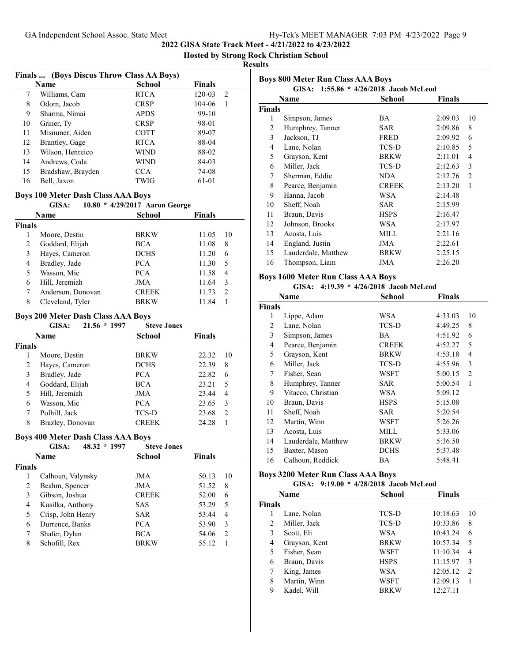**Hosted by Strong Rock Christian School**

#### **Results**

|    | Finals  (Boys Discus Throw Class AA Boys) |               |             |
|----|-------------------------------------------|---------------|-------------|
|    | Name                                      | <b>School</b> | Finals      |
| 7  | Williams, Cam                             | <b>RTCA</b>   | 120-03<br>2 |
| 8  | Odom, Jacob                               | <b>CRSP</b>   | 104-06      |
| 9  | Sharma, Nimai                             | <b>APDS</b>   | 99-10       |
| 10 | Griner, Ty                                | <b>CRSP</b>   | 98-01       |
| 11 | Misnuner, Aiden                           | <b>COTT</b>   | 89-07       |
| 12 | Brantley, Gage                            | <b>RTCA</b>   | 88-04       |
| 13 | Wilson, Henreico                          | <b>WIND</b>   | 88-02       |
| 14 | Andrews, Coda                             | <b>WIND</b>   | 84-03       |
| 15 | Bradshaw, Brayden                         | <b>CCA</b>    | 74-08       |
| 16 | Bell, Jaxon                               | <b>TWIG</b>   | 61-01       |

## **Boys 100 Meter Dash Class AAA Boys**

|               | GISA:             | 10.80 * 4/29/2017 Aaron George |               |
|---------------|-------------------|--------------------------------|---------------|
|               | Name              | School                         | <b>Finals</b> |
| <b>Finals</b> |                   |                                |               |
|               | Moore, Destin     | <b>BRKW</b>                    | 11.05<br>10   |
| 2             | Goddard, Elijah   | <b>BCA</b>                     | 11.08<br>8    |
| 3             | Hayes, Cameron    | <b>DCHS</b>                    | 11.20<br>6    |
| 4             | Bradley, Jade     | <b>PCA</b>                     | 11.30<br>5    |
| 5             | Wasson, Mic       | <b>PCA</b>                     | 11.58<br>4    |
| 6             | Hill, Jeremiah    | <b>JMA</b>                     | 11.64<br>3    |
|               | Anderson, Donovan | <b>CREEK</b>                   | 11.73<br>2    |
| 8             | Cleveland, Tyler  | <b>BRKW</b>                    | 11.84         |

#### **Boys 200 Meter Dash Class AAA Boys**

|               | GISA:<br>$21.56 * 1997$ | <b>Steve Jones</b> |        |     |
|---------------|-------------------------|--------------------|--------|-----|
|               | Name                    | <b>School</b>      | Finals |     |
| <b>Finals</b> |                         |                    |        |     |
|               | Moore, Destin           | <b>BRKW</b>        | 22.32  | -10 |
| 2             | Hayes, Cameron          | <b>DCHS</b>        | 22.39  | 8   |
| 3             | Bradley, Jade           | <b>PCA</b>         | 22.82  | 6   |
| 4             | Goddard, Elijah         | <b>BCA</b>         | 23.21  | 5   |
| 5             | Hill, Jeremiah          | JMA                | 23.44  | 4   |
| 6             | Wasson, Mic             | <b>PCA</b>         | 23.65  | 3   |
| 7             | Polhill, Jack           | TCS-D              | 23.68  | 2   |
| 8             | Brazley, Donovan        | <b>CREEK</b>       | 24.28  |     |

#### **Boys 400 Meter Dash Class AAA Boys**

|        | 48.32 * 1997<br>GISA: | <b>Steve Jones</b> |        |    |
|--------|-----------------------|--------------------|--------|----|
|        | Name                  | School             | Finals |    |
| Finals |                       |                    |        |    |
|        | Calhoun, Valynsky     | JMA                | 50.13  | 10 |
| 2      | Beahm, Spencer        | JMA                | 51.52  | 8  |
| 3      | Gibson, Joshua        | <b>CREEK</b>       | 52.00  | 6  |
| 4      | Kusilka, Anthony      | SAS                | 53.29  | 5  |
| 5      | Crisp, John Henry     | <b>SAR</b>         | 53.44  | 4  |
| 6      | Durrence, Banks       | <b>PCA</b>         | 53.90  | 3  |
| 7      | Shafer, Dylan         | BCA                | 54.06  | 2  |
| 8      | Schofill, Rex         | <b>BRKW</b>        | 55.12  |    |
|        |                       |                    |        |    |

| <b>Boys 800 Meter Run Class AAA Boys</b><br>GISA: 1:55.86 * 4/26/2018 Jacob McLeod |                     |              |         |                |  |
|------------------------------------------------------------------------------------|---------------------|--------------|---------|----------------|--|
|                                                                                    | Name                | School       | Finals  |                |  |
| <b>Finals</b>                                                                      |                     |              |         |                |  |
| 1                                                                                  | Simpson, James      | BA.          | 2:09.03 | 10             |  |
| 2                                                                                  | Humphrey, Tanner    | <b>SAR</b>   | 2:09.86 | 8              |  |
| 3                                                                                  | Jackson, TJ         | <b>FRED</b>  | 2:09.92 | 6              |  |
| 4                                                                                  | Lane, Nolan         | TCS-D        | 2:10.85 | 5              |  |
| 5                                                                                  | Grayson, Kent       | <b>BRKW</b>  | 2:11.01 | 4              |  |
| 6                                                                                  | Miller, Jack        | TCS-D        | 2:12.63 | 3              |  |
| 7                                                                                  | Sherman, Eddie      | NDA.         | 2:12.76 | $\overline{c}$ |  |
| 8                                                                                  | Pearce, Benjamin    | <b>CREEK</b> | 2:13.20 | 1              |  |
| 9                                                                                  | Hanna, Jacob        | WSA          | 2:14.48 |                |  |
| 10                                                                                 | Sheff, Noah         | <b>SAR</b>   | 2:15.99 |                |  |
| 11                                                                                 | Braun, Davis        | <b>HSPS</b>  | 2:16.47 |                |  |
| 12                                                                                 | Johnson, Brooks     | <b>WSA</b>   | 2:17.97 |                |  |
| 13                                                                                 | Acosta, Luis        | MILL         | 2:21.16 |                |  |
| 14                                                                                 | England, Justin     | <b>JMA</b>   | 2:22.61 |                |  |
| 15                                                                                 | Lauderdale, Matthew | <b>BRKW</b>  | 2:25.15 |                |  |
| 16                                                                                 | Thompson, Liam      | JMA          | 2:26.20 |                |  |

## **Boys 1600 Meter Run Class AAA Boys**

| GISA: $4:19.39 * 4/26/2018$ Jacob McLeod |
|------------------------------------------|
|------------------------------------------|

| Name          |                     | School       | <b>Finals</b> |              |
|---------------|---------------------|--------------|---------------|--------------|
| <b>Finals</b> |                     |              |               |              |
| 1             | Lippe, Adam         | WSA          | 4:33.03       | 10           |
| 2             | Lane, Nolan         | TCS-D        | 4:49.25       | 8            |
| 3             | Simpson, James      | BA.          | 4:51.92       | 6            |
| 4             | Pearce, Benjamin    | <b>CREEK</b> | 4:52.27       | 5            |
| 5             | Grayson, Kent       | <b>BRKW</b>  | 4:53.18       | 4            |
| 6             | Miller, Jack        | TCS-D        | 4:55.96       | 3            |
| 7             | Fisher, Sean        | WSFT         | 5:00.15       | 2            |
| 8             | Humphrey, Tanner    | <b>SAR</b>   | 5:00.54       | $\mathbf{1}$ |
| 9             | Vitacco, Christian  | WSA          | 5:09.12       |              |
| 10            | Braun, Davis        | <b>HSPS</b>  | 5:15.08       |              |
| 11            | Sheff, Noah         | <b>SAR</b>   | 5:20.54       |              |
| 12            | Martin, Winn        | WSFT         | 5:26.26       |              |
| 13            | Acosta, Luis        | MILL         | 5:33.06       |              |
| 14            | Lauderdale, Matthew | BRKW         | 5:36.50       |              |
| 15            | Baxter, Mason       | <b>DCHS</b>  | 5:37.48       |              |
| 16            | Calhoun, Reddick    | BA           | 5:48.41       |              |

#### **Boys 3200 Meter Run Class AAA Boys**

| GISA: 9:19.00 * 4/28/2018 Jacob McLeod |
|----------------------------------------|
|----------------------------------------|

| Name          |               | School      | <b>Finals</b> |               |
|---------------|---------------|-------------|---------------|---------------|
| <b>Finals</b> |               |             |               |               |
|               | Lane, Nolan   | TCS-D       | 10:18.63      | 10            |
| 2             | Miller, Jack  | TCS-D       | 10:33.86      | 8             |
| 3             | Scott, Eli    | WSA         | 10:43.24      | 6             |
| 4             | Grayson, Kent | <b>BRKW</b> | 10:57.34      | 5             |
| 5             | Fisher, Sean  | WSFT        | 11:10.34      | 4             |
| 6             | Braun, Davis  | <b>HSPS</b> | 11:15.97      | 3             |
| 7             | King, James   | WSA         | 12:05.12      | $\mathcal{P}$ |
| 8             | Martin, Winn  | WSFT        | 12:09.13      |               |
| 9             | Kadel, Will   | <b>BRKW</b> | 12:27.11      |               |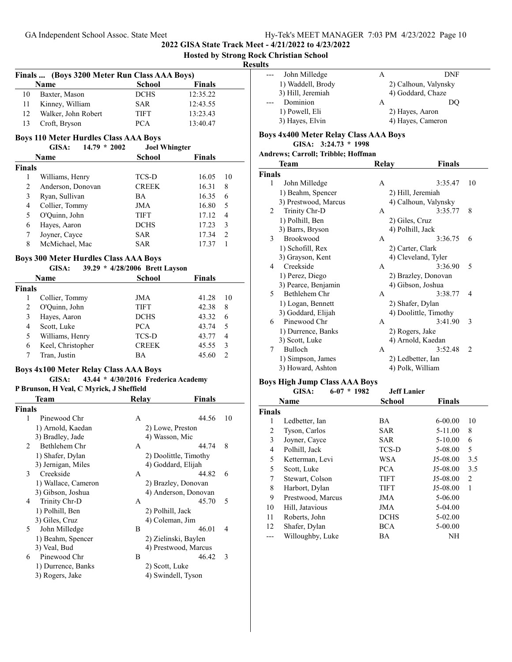## **Hosted by Strong Rock Christian School**

#### **Results**

|    | Finals  (Boys 3200 Meter Run Class AAA Boys) |               |               |  |
|----|----------------------------------------------|---------------|---------------|--|
|    | Name                                         | <b>School</b> | <b>Finals</b> |  |
| 10 | Baxter, Mason                                | <b>DCHS</b>   | 12:35.22      |  |
|    | Kinney, William                              | <b>SAR</b>    | 12:43.55      |  |
| 12 | Walker, John Robert                          | <b>TIFT</b>   | 13:23.43      |  |
|    | Croft, Bryson                                | <b>PCA</b>    | 13:40.47      |  |

# **Boys 110 Meter Hurdles Class AAA Boys**<br>GISA: 14.79 \* 2002 Joel Whingter

#### **GISA: 14.79 \* Joel Whingter 2002**

| Name          |                   | <b>School</b> | <b>Finals</b> |  |
|---------------|-------------------|---------------|---------------|--|
| <b>Finals</b> |                   |               |               |  |
| 1             | Williams, Henry   | TCS-D         | 16.05<br>10   |  |
| 2             | Anderson, Donovan | <b>CREEK</b>  | 16.31<br>8    |  |
| 3             | Ryan, Sullivan    | BA.           | 16.35<br>6    |  |
| 4             | Collier, Tommy    | JMA           | 16.80<br>5    |  |
| 5             | O'Quinn, John     | <b>TIFT</b>   | 17.12<br>4    |  |
| 6             | Hayes, Aaron      | <b>DCHS</b>   | 17.23<br>3    |  |
| 7             | Joyner, Cayce     | SAR           | 17.34<br>2    |  |
| 8             | McMichael, Mac    | SAR           | 17.37         |  |

## **Boys 300 Meter Hurdles Class AAA Boys**

| GISA: |  |  | 39.29 * 4/28/2006 Brett Layson |
|-------|--|--|--------------------------------|
|-------|--|--|--------------------------------|

| Name   |                   | School       | <b>Finals</b> |    |
|--------|-------------------|--------------|---------------|----|
| Finals |                   |              |               |    |
|        | Collier, Tommy    | JMA          | 41.28         | 10 |
|        | O'Quinn, John     | <b>TIFT</b>  | 42.38         | 8  |
| 3      | Hayes, Aaron      | <b>DCHS</b>  | 43.32         | 6  |
| 4      | Scott, Luke       | <b>PCA</b>   | 43.74         | 5  |
| 5      | Williams, Henry   | TCS-D        | 43.77         | 4  |
| 6      | Keel, Christopher | <b>CREEK</b> | 45.55         | 3  |
|        | Tran, Justin      | ВA           | 45.60         |    |
|        |                   |              |               |    |

## **Boys 4x100 Meter Relay Class AAA Boys**

## **GISA:** 43.44 \* 4/30/2016 Frederica Academy **P Brunson, H Veal, C Myrick, J Sheffield**

|                | Team                | Relay | Finals                |    |
|----------------|---------------------|-------|-----------------------|----|
| <b>Finals</b>  |                     |       |                       |    |
| 1              | Pinewood Chr        | A     | 44.56                 | 10 |
|                | 1) Arnold, Kaedan   |       | 2) Lowe, Preston      |    |
|                | 3) Bradley, Jade    |       | 4) Wasson, Mic        |    |
| $\mathfrak{D}$ | Bethlehem Chr       | A     | 44.74                 | 8  |
|                | 1) Shafer, Dylan    |       | 2) Doolittle, Timothy |    |
|                | 3) Jernigan, Miles  |       | 4) Goddard, Elijah    |    |
| 3              | Creekside           | A     | 44.82                 | 6  |
|                | 1) Wallace, Cameron |       | 2) Brazley, Donovan   |    |
|                | 3) Gibson, Joshua   |       | 4) Anderson, Donovan  |    |
| 4              | Trinity Chr-D       | A     | 45.70                 | 5  |
|                | 1) Polhill, Ben     |       | 2) Polhill, Jack      |    |
|                | 3) Giles, Cruz      |       | 4) Coleman, Jim       |    |
| 5.             | John Milledge       | B     | 46.01                 | 4  |
|                | 1) Beahm, Spencer   |       | 2) Zielinski, Baylen  |    |
|                | 3) Veal, Bud        |       | 4) Prestwood, Marcus  |    |
| 6              | Pinewood Chr        | B     | 46.42                 | 3  |
|                | 1) Durrence, Banks  |       | 2) Scott, Luke        |    |
|                | 3) Rogers, Jake     |       | 4) Swindell, Tyson    |    |
|                |                     |       |                       |    |

| --- | John Milledge     | А | DNF                  |
|-----|-------------------|---|----------------------|
|     | 1) Waddell, Brody |   | 2) Calhoun, Valynsky |
|     | 3) Hill, Jeremiah |   | 4) Goddard, Chaze    |
|     | Dominion          | А | DO                   |
|     | 1) Powell, Eli    |   | 2) Hayes, Aaron      |
|     | 3) Hayes, Elvin   |   | 4) Hayes, Cameron    |
|     |                   |   |                      |

#### **Boys 4x400 Meter Relay Class AAA Boys**

**GISA: 3:24.73 \* 1998**

| Andrews; Carroll; Tribble; Hoffman |  |  |  |
|------------------------------------|--|--|--|
|                                    |  |  |  |

|               | Team                 | Relay            | Finals                |                |
|---------------|----------------------|------------------|-----------------------|----------------|
| <b>Finals</b> |                      |                  |                       |                |
| 1             | John Milledge        | A                | 3:35.47               | 10             |
|               | 1) Beahm, Spencer    |                  | 2) Hill, Jeremiah     |                |
|               | 3) Prestwood, Marcus |                  | 4) Calhoun, Valynsky  |                |
| 2             | Trinity Chr-D        | A                | 3:35.77               | 8              |
|               | 1) Polhill, Ben      | 2) Giles, Cruz   |                       |                |
|               | 3) Barrs, Bryson     | 4) Polhill, Jack |                       |                |
| 3             | <b>Brookwood</b>     | A                | 3:36.75               | 6              |
|               | 1) Schofill, Rex     | 2) Carter, Clark |                       |                |
|               | 3) Grayson, Kent     |                  | 4) Cleveland, Tyler   |                |
| 4             | Creekside            | A                | 3:36.90               | 5              |
|               | 1) Perez, Diego      |                  | 2) Brazley, Donovan   |                |
|               | 3) Pearce, Benjamin  |                  | 4) Gibson, Joshua     |                |
| 5             | Bethlehem Chr        | A                | 3:38.77               | 4              |
|               | 1) Logan, Bennett    |                  | 2) Shafer, Dylan      |                |
|               | 3) Goddard, Elijah   |                  | 4) Doolittle, Timothy |                |
| 6             | Pinewood Chr         | A                | 3:41.90               | 3              |
|               | 1) Durrence, Banks   | 2) Rogers, Jake  |                       |                |
|               | 3) Scott, Luke       |                  | 4) Arnold, Kaedan     |                |
| 7             | Bulloch              | A                | 3:52.48               | $\overline{c}$ |
|               | 1) Simpson, James    |                  | 2) Ledbetter, Ian     |                |
|               | 3) Howard, Ashton    |                  | 4) Polk, William      |                |
|               |                      |                  |                       |                |

## **Boys High Jump Class AAA Boys**

|        | GISA:<br>$6-07 * 1982$ | <b>Jeff Lanier</b> |               |                |
|--------|------------------------|--------------------|---------------|----------------|
|        | <b>Name</b>            | School             | <b>Finals</b> |                |
| Finals |                        |                    |               |                |
| 1      | Ledbetter, Ian         | ВA                 | $6 - 00.00$   | 10             |
| 2      | Tyson, Carlos          | SAR                | 5-11.00       | 8              |
| 3      | Joyner, Cayce          | SAR                | $5-10.00$     | 6              |
| 4      | Polhill, Jack          | TCS-D              | 5-08.00       | 5              |
| 5      | Ketterman, Levi        | WSA                | J5-08.00      | 3.5            |
| 5      | Scott, Luke            | PCA                | J5-08.00      | 3.5            |
| 7      | Stewart, Colson        | TIFT               | J5-08.00      | $\overline{2}$ |
| 8      | Harbort, Dylan         | <b>TIFT</b>        | J5-08.00      | 1              |
| 9      | Prestwood, Marcus      | JMA                | 5-06.00       |                |
| 10     | Hill, Jatavious        | JMA                | 5-04.00       |                |
| 11     | Roberts, John          | <b>DCHS</b>        | 5-02.00       |                |
| 12     | Shafer, Dylan          | BCA                | 5-00.00       |                |
|        | Willoughby, Luke       | BA                 | NH            |                |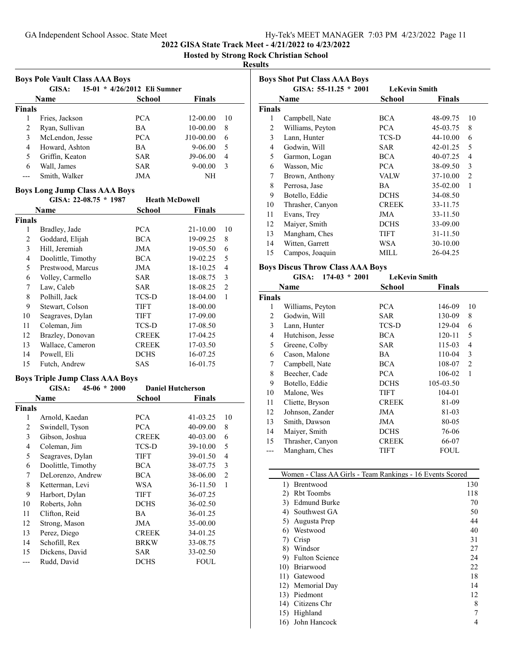**Hosted by Strong Rock Christian School**

#### **Results**

|               | GISA:           | 15-01 * 4/26/2012 Eli Sumner |              |    |
|---------------|-----------------|------------------------------|--------------|----|
|               | Name            | School                       | Finals       |    |
| <b>Finals</b> |                 |                              |              |    |
| 1             | Fries, Jackson  | <b>PCA</b>                   | $12 - 00.00$ | 10 |
| 2             | Ryan, Sullivan  | <b>BA</b>                    | $10-00.00$   | 8  |
| 3             | McLendon, Jesse | <b>PCA</b>                   | J10-00.00    | 6  |
| 4             | Howard, Ashton  | <b>BA</b>                    | $9-06.00$    | 5  |
| 5             | Griffin, Keaton | <b>SAR</b>                   | J9-06.00     | 4  |
| 6             | Wall, James     | <b>SAR</b>                   | $9 - 00.00$  | 3  |
| ---           | Smith, Walker   | JMA                          | NH           |    |

## **Boys Long Jump Class AAA Boys**

| GISA: $22-08.75 * 1987$ |                    | <b>Heath McDowell</b> |               |                |
|-------------------------|--------------------|-----------------------|---------------|----------------|
|                         | Name               | School                | <b>Finals</b> |                |
| <b>Finals</b>           |                    |                       |               |                |
| 1                       | Bradley, Jade      | <b>PCA</b>            | 21-10.00      | 10             |
| 2                       | Goddard, Elijah    | <b>BCA</b>            | 19-09.25      | 8              |
| 3                       | Hill, Jeremiah     | JMA                   | 19-05.50      | 6              |
| $\overline{4}$          | Doolittle, Timothy | <b>BCA</b>            | 19-02.25      | 5              |
| 5                       | Prestwood, Marcus  | JMA                   | 18-10.25      | 4              |
| 6                       | Volley, Carmello   | SAR                   | 18-08.75      | 3              |
| 7                       | Law, Caleb         | SAR                   | 18-08.25      | $\overline{2}$ |
| 8                       | Polhill, Jack      | TCS-D                 | 18-04.00      | 1              |
| 9                       | Stewart, Colson    | <b>TIFT</b>           | 18-00.00      |                |
| 10                      | Seagraves, Dylan   | <b>TIFT</b>           | 17-09.00      |                |
| 11                      | Coleman, Jim       | TCS-D                 | 17-08.50      |                |
| 12                      | Brazley, Donovan   | <b>CREEK</b>          | 17-04.25      |                |
| 13                      | Wallace, Cameron   | <b>CREEK</b>          | 17-03.50      |                |
| 14                      | Powell, Eli        | <b>DCHS</b>           | 16-07.25      |                |
| 15                      | Futch, Andrew      | SAS                   | 16-01.75      |                |

## **Boys Triple Jump Class AAA Boys**

| GISA:<br>$45-06 * 2000$ |                    | <b>Daniel Hutcherson</b> |              |          |                |  |
|-------------------------|--------------------|--------------------------|--------------|----------|----------------|--|
|                         | Name               |                          | School       | Finals   |                |  |
| Finals                  |                    |                          |              |          |                |  |
| 1                       | Arnold, Kaedan     |                          | <b>PCA</b>   | 41-03.25 | 10             |  |
| 2                       | Swindell, Tyson    |                          | <b>PCA</b>   | 40-09.00 | 8              |  |
| 3                       | Gibson, Joshua     |                          | <b>CREEK</b> | 40-03.00 | 6              |  |
| 4                       | Coleman, Jim       |                          | TCS-D        | 39-10.00 | 5              |  |
| 5                       | Seagraves, Dylan   |                          | TIFT         | 39-01.50 | 4              |  |
| 6                       | Doolittle, Timothy |                          | <b>BCA</b>   | 38-07.75 | 3              |  |
| 7                       | DeLorenzo, Andrew  |                          | <b>BCA</b>   | 38-06.00 | $\overline{2}$ |  |
| 8                       | Ketterman, Levi    |                          | WSA          | 36-11.50 | 1              |  |
| 9                       | Harbort, Dylan     |                          | TIFT         | 36-07.25 |                |  |
| 10                      | Roberts, John      |                          | <b>DCHS</b>  | 36-02.50 |                |  |
| 11                      | Clifton, Reid      |                          | BA           | 36-01.25 |                |  |
| 12                      | Strong, Mason      |                          | JMA          | 35-00.00 |                |  |
| 13                      | Perez, Diego       |                          | <b>CREEK</b> | 34-01.25 |                |  |
| 14                      | Schofill, Rex      |                          | <b>BRKW</b>  | 33-08.75 |                |  |
| 15                      | Dickens, David     |                          | <b>SAR</b>   | 33-02.50 |                |  |
|                         | Rudd, David        |                          | <b>DCHS</b>  | FOUL     |                |  |

|               | <b>Boys Shot Put Class AAA Boys</b> |                      |               |                |
|---------------|-------------------------------------|----------------------|---------------|----------------|
|               | GISA: $55-11.25 * 2001$             | <b>LeKevin Smith</b> |               |                |
|               | Name                                | School               | <b>Finals</b> |                |
| <b>Finals</b> |                                     |                      |               |                |
| 1             | Campbell, Nate                      | <b>BCA</b>           | 48-09.75      | 10             |
| 2             | Williams, Peyton                    | <b>PCA</b>           | 45-03.75      | 8              |
| 3             | Lann, Hunter                        | TCS-D                | $44 - 10.00$  | 6              |
| 4             | Godwin, Will                        | <b>SAR</b>           | 42-01.25      | 5              |
| 5             | Garmon, Logan                       | <b>BCA</b>           | 40-07.25      | 4              |
| 6             | Wasson, Mic                         | <b>PCA</b>           | 38-09.50      | 3              |
| 7             | Brown, Anthony                      | <b>VALW</b>          | 37-10.00      | $\mathfrak{D}$ |
| 8             | Perrosa, Jase                       | BA.                  | 35-02.00      | 1              |
| 9             | Botello, Eddie                      | <b>DCHS</b>          | 34-08.50      |                |
| 10            | Thrasher, Canyon                    | <b>CREEK</b>         | 33-11.75      |                |
| 11            | Evans, Trey                         | JMA                  | 33-11.50      |                |
| 12            | Maiyer, Smith                       | <b>DCHS</b>          | 33-09.00      |                |
| 13            | Mangham, Ches                       | <b>TIFT</b>          | 31-11.50      |                |
| 14            | Witten, Garrett                     | WSA                  | 30-10.00      |                |
| 15            | Campos, Joaquin                     | MILL                 | 26-04.25      |                |
|               |                                     |                      |               |                |

#### **Boys Discus Throw Class AAA Boys**

| $174-03 * 2001$<br>GISA: |                  | <b>LeKevin Smith</b> |               |                |
|--------------------------|------------------|----------------------|---------------|----------------|
|                          | Name             | School               | <b>Finals</b> |                |
| <b>Finals</b>            |                  |                      |               |                |
| 1                        | Williams, Peyton | <b>PCA</b>           | 146-09        | 10             |
| $\overline{c}$           | Godwin, Will     | <b>SAR</b>           | 130-09        | 8              |
| 3                        | Lann, Hunter     | TCS-D                | 129-04        | 6              |
| 4                        | Hutchison, Jesse | <b>BCA</b>           | 120-11        | 5              |
| 5                        | Greene, Colby    | SAR                  | 115-03        | 4              |
| 6                        | Cason, Malone    | BA                   | 110-04        | 3              |
| 7                        | Campbell, Nate   | <b>BCA</b>           | 108-07        | $\overline{2}$ |
| 8                        | Beecher, Cade    | <b>PCA</b>           | 106-02        | 1              |
| 9                        | Botello, Eddie   | <b>DCHS</b>          | 105-03.50     |                |
| 10                       | Malone, Wes      | TIFT                 | 104-01        |                |
| 11                       | Cliette, Bryson  | <b>CREEK</b>         | 81-09         |                |
| 12                       | Johnson, Zander  | JMA                  | 81-03         |                |
| 13                       | Smith, Dawson    | JMA                  | 80-05         |                |
| 14                       | Maiyer, Smith    | <b>DCHS</b>          | 76-06         |                |
| 15                       | Thrasher, Canyon | <b>CREEK</b>         | 66-07         |                |
| ---                      | Mangham, Ches    | TIFT                 | FOUL          |                |

| Women - Class AA Girls - Team Rankings - 16 Events Scored |     |
|-----------------------------------------------------------|-----|
| <b>Brentwood</b><br>1)                                    | 130 |
| <b>Rbt</b> Toombs<br>2)                                   | 118 |
| Edmund Burke<br>3)                                        | 70  |
| Southwest GA<br>4)                                        | 50  |
| Augusta Prep<br>5)                                        | 44  |
| Westwood<br>6)                                            | 40  |
| Crisp<br>7)                                               | 31  |
| Windsor<br>8)                                             | 27  |
| <b>Fulton Science</b><br>9)                               | 24  |
| <b>Briarwood</b><br>10)                                   | 22  |
| Gatewood<br>11)                                           | 18  |
| 12) Memorial Day                                          | 14  |
| Piedmont<br>13)                                           | 12  |
| Citizens Chr<br>14)                                       | 8   |
| Highland<br>15)                                           | 7   |
| John Hancock<br>16)                                       | 4   |
|                                                           |     |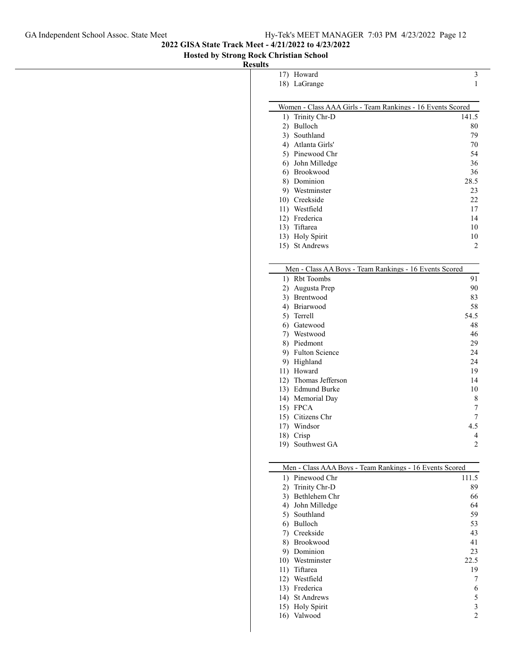17) Howard 3

## **2022 GISA State Track Meet - 4/21/2022 to 4/23/2022**

**Hosted by Strong Rock Christian School**

**Results**

|           | 18) LaGrange                                               | 1              |
|-----------|------------------------------------------------------------|----------------|
|           |                                                            |                |
|           | Women - Class AAA Girls - Team Rankings - 16 Events Scored |                |
| 1)        | Trinity Chr-D                                              | 141.5          |
| 2)        | Bulloch                                                    | 80             |
|           | 3) Southland                                               | 79             |
|           | 4) Atlanta Girls'                                          | 70             |
|           | 5) Pinewood Chr                                            | 54             |
|           | 6) John Milledge                                           | 36             |
|           | 6) Brookwood                                               | 36             |
|           | 8) Dominion                                                | 28.5           |
|           | 9) Westminster                                             | 23             |
|           | 10) Creekside<br>11) Westfield                             | 22<br>17       |
|           | 12) Frederica                                              | 14             |
|           | 13) Tiftarea                                               | 10             |
|           | 13) Holy Spirit                                            | 10             |
|           | 15) St Andrews                                             | 2              |
|           |                                                            |                |
|           |                                                            |                |
|           | Men - Class AA Boys - Team Rankings - 16 Events Scored     |                |
| 1)        | <b>Rbt</b> Toombs                                          | 91             |
|           | 2) Augusta Prep                                            | 90             |
|           | 3) Brentwood                                               | 83             |
|           | 4) Briarwood                                               | 58<br>54.5     |
|           | 5) Terrell<br>6) Gatewood                                  | 48             |
|           | 7) Westwood                                                | 46             |
|           | 8) Piedmont                                                | 29             |
|           | 9) Fulton Science                                          | 24             |
|           | 9) Highland                                                | 24             |
|           | 11) Howard                                                 | 19             |
|           | 12) Thomas Jefferson                                       | 14             |
|           | 13) Edmund Burke                                           | 10             |
|           | 14) Memorial Day                                           | 8              |
| 15) FPCA  |                                                            | 7              |
|           | 15) Citizens Chr                                           | 7              |
|           | 17) Windsor                                                | 4.5            |
| 18) Crisp |                                                            | 4              |
| 19)       | Southwest GA                                               | 2              |
|           |                                                            |                |
|           | Men - Class AAA Boys - Team Rankings - 16 Events Scored    |                |
| 1)        | Pinewood Chr                                               | 111.5          |
| 2)        | Trinity Chr-D                                              | 89             |
| 3)        | Bethlehem Chr                                              | 66             |
|           | 4) John Milledge                                           | 64             |
|           | 5) Southland                                               | 59             |
|           | 6) Bulloch                                                 | 53             |
|           | 7) Creekside                                               | 43             |
|           | 8) Brookwood                                               | 41             |
|           | 9) Dominion                                                | 23             |
|           | 10) Westminster                                            | 22.5           |
|           | 11) Tiftarea                                               | 19             |
|           | 12) Westfield                                              | 7              |
|           | 13) Frederica                                              | 6              |
|           | 14) St Andrews                                             | 5<br>3         |
|           | 15) Holy Spirit<br>16) Valwood                             | $\overline{c}$ |
|           |                                                            |                |
|           |                                                            |                |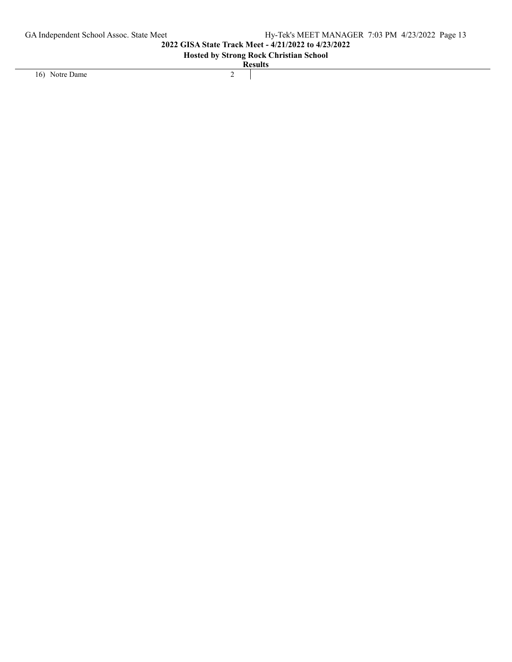# **Hosted by Strong Rock Christian School**

16) Notre Dame 2

**Results**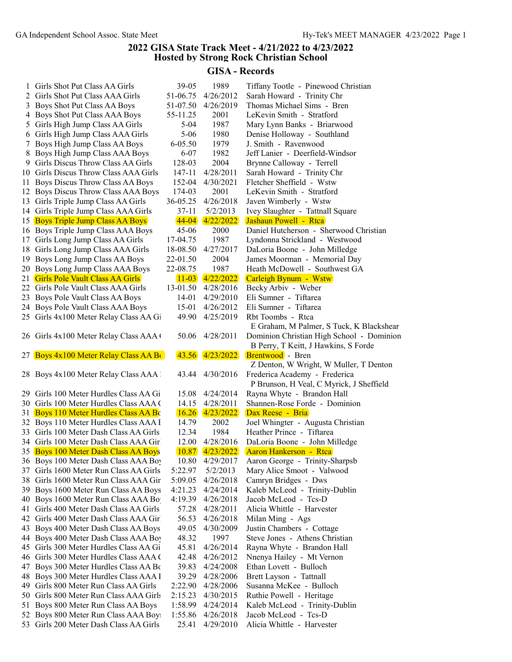## **2022 GISA State Track Meet - 4/21/2022 to 4/23/2022 Hosted by Strong Rock Christian School**

# **GISA - Records**

| 1   | Girls Shot Put Class AA Girls          | 39-05       | 1989                | Tiffany Tootle - Pinewood Christian       |
|-----|----------------------------------------|-------------|---------------------|-------------------------------------------|
|     | 2 Girls Shot Put Class AAA Girls       | 51-06.75    | 4/26/2012           | Sarah Howard - Trinity Chr                |
|     | 3 Boys Shot Put Class AA Boys          | 51-07.50    | 4/26/2019           | Thomas Michael Sims - Bren                |
|     | 4 Boys Shot Put Class AAA Boys         | 55-11.25    | 2001                | LeKevin Smith - Stratford                 |
|     | 5 Girls High Jump Class AA Girls       | $5-04$      | 1987                | Mary Lynn Banks - Briarwood               |
|     | 6 Girls High Jump Class AAA Girls      | $5 - 06$    | 1980                | Denise Holloway - Southland               |
|     | 7 Boys High Jump Class AA Boys         | $6 - 05.50$ | 1979                | J. Smith - Ravenwood                      |
|     | 8 Boys High Jump Class AAA Boys        | $6 - 07$    | 1982                | Jeff Lanier - Deerfield-Windsor           |
|     | 9 Girls Discus Throw Class AA Girls    | 128-03      | 2004                | Brynne Calloway - Terrell                 |
|     | 10 Girls Discus Throw Class AAA Girls  | 147-11      | 4/28/2011           | Sarah Howard - Trinity Chr                |
|     | 11 Boys Discus Throw Class AA Boys     | 152-04      | 4/30/2021           | Fletcher Sheffield - Wstw                 |
|     | 12 Boys Discus Throw Class AAA Boys    | 174-03      | 2001                | LeKevin Smith - Stratford                 |
|     | 13 Girls Triple Jump Class AA Girls    | 36-05.25    | 4/26/2018           | Javen Wimberly - Wstw                     |
|     | 14 Girls Triple Jump Class AAA Girls   | 37-11       | 5/2/2013            | Ivey Slaughter - Tattnall Square          |
|     | 15 Boys Triple Jump Class AA Boys      | $44 - 04$   | 4/22/2022           | Jashaun Powell - Rtca                     |
|     |                                        | 45-06       | 2000                | Daniel Hutcherson - Sherwood Christian    |
|     | 16 Boys Triple Jump Class AAA Boys     |             |                     |                                           |
|     | 17 Girls Long Jump Class AA Girls      | 17-04.75    | 1987                | Lyndonna Strickland - Westwood            |
|     | 18 Girls Long Jump Class AAA Girls     | 18-08.50    | 4/27/2017           | DaLoria Boone - John Milledge             |
|     | 19 Boys Long Jump Class AA Boys        | 22-01.50    | 2004                | James Moorman - Memorial Day              |
|     | 20 Boys Long Jump Class AAA Boys       | 22-08.75    | 1987                | Heath McDowell - Southwest GA             |
|     | 21 Girls Pole Vault Class AA Girls     | $11 - 03$   | 4/22/2022           | Carleigh Bynum - Wstw                     |
|     | 22 Girls Pole Vault Class AAA Girls    | 13-01.50    | 4/28/2016           | Becky Arbiv - Weber                       |
|     | 23 Boys Pole Vault Class AA Boys       | 14-01       | 4/29/2010           | Eli Sumner - Tiftarea                     |
|     | 24 Boys Pole Vault Class AAA Boys      | $15-01$     | 4/26/2012           | Eli Sumner - Tiftarea                     |
|     | 25 Girls 4x100 Meter Relay Class AA Gi | 49.90       | 4/25/2019           | Rbt Toombs - Rtca                         |
|     |                                        |             |                     | E Graham, M Palmer, S Tuck, K Blackshear  |
|     | 26 Girls 4x100 Meter Relay Class AAA ( | 50.06       | 4/28/2011           | Dominion Christian High School - Dominion |
|     |                                        |             |                     | B Perry, T Keitt, J Hawkins, S Forde      |
|     | 27 Boys 4x100 Meter Relay Class AA B   | 43.56       | 4/23/2022           | <b>Brentwood</b> - Bren                   |
|     |                                        |             |                     | Z Denton, W Wright, W Muller, T Denton    |
|     | 28 Boys 4x100 Meter Relay Class AAA !  | 43.44       | 4/30/2016           | Frederica Academy - Frederica             |
|     |                                        |             |                     | P Brunson, H Veal, C Myrick, J Sheffield  |
|     | 29 Girls 100 Meter Hurdles Class AA Gi | 15.08       | 4/24/2014           | Rayna Whyte - Brandon Hall                |
|     | 30 Girls 100 Meter Hurdles Class AAA ( | 14.15       | 4/28/2011           | Shannen-Rose Forde - Dominion             |
|     | 31 Boys 110 Meter Hurdles Class AA Bc  |             | $16.26$ $4/23/2022$ | Dax Reese - Bria                          |
|     | 32 Boys 110 Meter Hurdles Class AAA I  | 14.79       | 2002                | Joel Whingter - Augusta Christian         |
|     | 33 Girls 100 Meter Dash Class AA Girls | 12.34       | 1984                | Heather Prince - Tiftarea                 |
|     | 34 Girls 100 Meter Dash Class AAA Gir  | 12.00       | 4/28/2016           | DaLoria Boone - John Milledge             |
|     | 35 Boys 100 Meter Dash Class AA Boys   | 10.87       | 4/23/2022           | Aaron Hankerson - Rtca                    |
|     | 36 Boys 100 Meter Dash Class AAA Boy   | 10.80       | 4/29/2017           | Aaron George - Trinity-Sharpsb            |
|     | 37 Girls 1600 Meter Run Class AA Girls | 5:22.97     | 5/2/2013            | Mary Alice Smoot - Valwood                |
|     |                                        |             | 4/26/2018           |                                           |
|     | 38 Girls 1600 Meter Run Class AAA Gir  | 5:09.05     |                     | Camryn Bridges - Dws                      |
|     | 39 Boys 1600 Meter Run Class AA Boys   | 4:21.23     | 4/24/2014           | Kaleb McLeod - Trinity-Dublin             |
|     | 40 Boys 1600 Meter Run Class AAA Bo    | 4:19.39     | 4/26/2018           | Jacob McLeod - Tcs-D                      |
| 41  | Girls 400 Meter Dash Class AA Girls    | 57.28       | 4/28/2011           | Alicia Whittle - Harvester                |
|     | 42 Girls 400 Meter Dash Class AAA Gir  | 56.53       | 4/26/2018           | Milan Ming - Ags                          |
| 43  | Boys 400 Meter Dash Class AA Boys      | 49.05       | 4/30/2009           | Justin Chambers - Cottage                 |
|     | 44 Boys 400 Meter Dash Class AAA Boy   | 48.32       | 1997                | Steve Jones - Athens Christian            |
|     | 45 Girls 300 Meter Hurdles Class AA Gi | 45.81       | 4/26/2014           | Rayna Whyte - Brandon Hall                |
|     | 46 Girls 300 Meter Hurdles Class AAA ( | 42.48       | 4/26/2012           | Nnenya Hailey - Mt Vernon                 |
| 47  | Boys 300 Meter Hurdles Class AA Bo     | 39.83       | 4/24/2008           | Ethan Lovett - Bulloch                    |
|     | 48 Boys 300 Meter Hurdles Class AAA I  | 39.29       | 4/28/2006           | Brett Layson - Tattnall                   |
| 49. | Girls 800 Meter Run Class AA Girls     | 2:22.90     | 4/28/2006           | Susanna McKee - Bulloch                   |
|     | 50 Girls 800 Meter Run Class AAA Girls | 2:15.23     | 4/30/2015           | Ruthie Powell - Heritage                  |
| 51  | Boys 800 Meter Run Class AA Boys       | 1:58.99     | 4/24/2014           | Kaleb McLeod - Trinity-Dublin             |
| 52  | Boys 800 Meter Run Class AAA Boy.      | 1:55.86     | 4/26/2018           | Jacob McLeod - Tcs-D                      |
|     | 53 Girls 200 Meter Dash Class AA Girls | 25.41       | 4/29/2010           | Alicia Whittle - Harvester                |
|     |                                        |             |                     |                                           |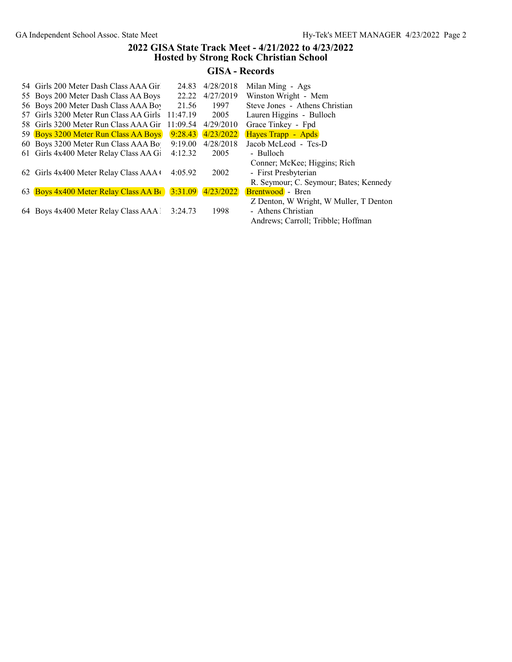## **2022 GISA State Track Meet - 4/21/2022 to 4/23/2022 Hosted by Strong Rock Christian School**

# **GISA - Records**

| 54 Girls 200 Meter Dash Class AAA Gir  | 24.83    | 4/28/2018             | Milan Ming - Ags                       |
|----------------------------------------|----------|-----------------------|----------------------------------------|
| 55 Boys 200 Meter Dash Class AA Boys   | 22.22    | 4/27/2019             | Winston Wright - Mem                   |
| 56 Boys 200 Meter Dash Class AAA Boy   | 21.56    | 1997                  | Steve Jones - Athens Christian         |
| 57 Girls 3200 Meter Run Class AA Girls | 11:47.19 | 2005                  | Lauren Higgins - Bulloch               |
| 58 Girls 3200 Meter Run Class AAA Gir  | 11:09.54 | 4/29/2010             | Grace Tinkey - Fpd                     |
| 59 Boys 3200 Meter Run Class AA Boys   | 9:28.43  | 4/23/2022             | Hayes Trapp - Apds                     |
| 60 Boys 3200 Meter Run Class AAA Bo    | 9:19.00  | 4/28/2018             | Jacob McLeod - Tcs-D                   |
| 61 Girls 4x400 Meter Relay Class AA Gi | 4:12.32  | 2005                  | - Bulloch                              |
|                                        |          |                       | Conner; McKee; Higgins; Rich           |
| 62 Girls 4x400 Meter Relay Class AAA   | 4:05.92  | 2002                  | - First Presbyterian                   |
|                                        |          |                       | R. Seymour; C. Seymour; Bates; Kennedy |
| 63 Boys 4x400 Meter Relay Class AA B   |          | $3:31.09$ $4/23/2022$ | <b>Brentwood</b> - Bren                |
|                                        |          |                       | Z Denton, W Wright, W Muller, T Denton |
| 64 Boys 4x400 Meter Relay Class AAA l  | 3:24.73  | 1998                  | - Athens Christian                     |
|                                        |          |                       | Andrews: Carroll: Tribble: Hoffman     |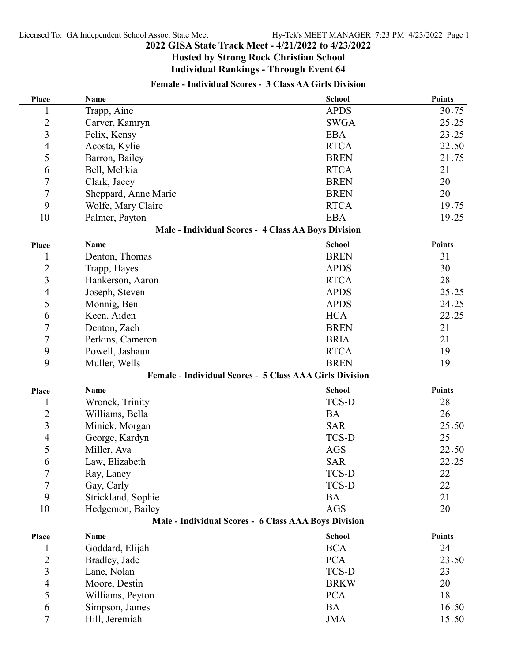# **Hosted by Strong Rock Christian School Individual Rankings - Through Event 64**

# **Female - Individual Scores - 3 Class AA Girls Division**

| Place            | Name                 | <b>School</b>                                                  | <b>Points</b> |
|------------------|----------------------|----------------------------------------------------------------|---------------|
| 1                | Trapp, Aine          | <b>APDS</b>                                                    | 30.75         |
| $\overline{c}$   | Carver, Kamryn       | <b>SWGA</b>                                                    | 25.25         |
| 3                | Felix, Kensy         | <b>EBA</b>                                                     | 23.25         |
| 4                | Acosta, Kylie        | <b>RTCA</b>                                                    | 22.50         |
| 5                | Barron, Bailey       | <b>BREN</b>                                                    | 21.75         |
| 6                | Bell, Mehkia         | <b>RTCA</b>                                                    | 21            |
| $\boldsymbol{7}$ | Clark, Jacey         | <b>BREN</b>                                                    | 20            |
| 7                | Sheppard, Anne Marie | <b>BREN</b>                                                    | 20            |
| 9                | Wolfe, Mary Claire   | <b>RTCA</b>                                                    | 19.75         |
| 10               | Palmer, Payton       | <b>EBA</b>                                                     | 19.25         |
|                  |                      | Male - Individual Scores - 4 Class AA Boys Division            |               |
| Place            | Name                 | <b>School</b>                                                  | <b>Points</b> |
| $\mathbf{1}$     | Denton, Thomas       | <b>BREN</b>                                                    | 31            |
| $\overline{c}$   | Trapp, Hayes         | <b>APDS</b>                                                    | 30            |
| 3                | Hankerson, Aaron     | <b>RTCA</b>                                                    | 28            |
| $\overline{4}$   | Joseph, Steven       | <b>APDS</b>                                                    | 25.25         |
| 5                | Monnig, Ben          | <b>APDS</b>                                                    | 24.25         |
| 6                | Keen, Aiden          | <b>HCA</b>                                                     | 22.25         |
| 7                | Denton, Zach         | <b>BREN</b>                                                    | 21            |
| 7                | Perkins, Cameron     | <b>BRIA</b>                                                    | 21            |
| 9                | Powell, Jashaun      | <b>RTCA</b>                                                    | 19            |
| 9                | Muller, Wells        | <b>BREN</b>                                                    | 19            |
|                  |                      | <b>Female - Individual Scores - 5 Class AAA Girls Division</b> |               |
| Place            | Name                 | <b>School</b>                                                  | <b>Points</b> |
| 1                | Wronek, Trinity      | <b>TCS-D</b>                                                   | 28            |
| $\overline{c}$   | Williams, Bella      | <b>BA</b>                                                      | 26            |
| 3                | Minick, Morgan       | <b>SAR</b>                                                     | 25.50         |
| $\overline{4}$   | George, Kardyn       | <b>TCS-D</b>                                                   | 25            |
| 5                | Miller, Ava          | <b>AGS</b>                                                     | 22.50         |
| 6                | Law, Elizabeth       | <b>SAR</b>                                                     | 22.25         |
| 7                | Ray, Laney           | TCS-D                                                          | 22            |
| $\overline{7}$   | Gay, Carly           | <b>TCS-D</b>                                                   | 22            |
| 9                | Strickland, Sophie   | <b>BA</b>                                                      | 21            |
| 10               | Hedgemon, Bailey     | <b>AGS</b>                                                     | 20            |
|                  |                      | Male - Individual Scores - 6 Class AAA Boys Division           |               |
| Place            | Name                 | <b>School</b>                                                  | <b>Points</b> |
| 1                | Goddard, Elijah      | <b>BCA</b>                                                     | 24            |
| $\overline{c}$   | Bradley, Jade        | <b>PCA</b>                                                     | 23.50         |
| 3                | Lane, Nolan          | TCS-D                                                          | 23            |
| $\overline{4}$   | Moore, Destin        | <b>BRKW</b>                                                    | 20            |
| 5                | Williams, Peyton     | <b>PCA</b>                                                     | 18            |
| 6                | Simpson, James       | <b>BA</b>                                                      | 16.50         |
| 7                | Hill, Jeremiah       | <b>JMA</b>                                                     | 15.50         |
|                  |                      |                                                                |               |